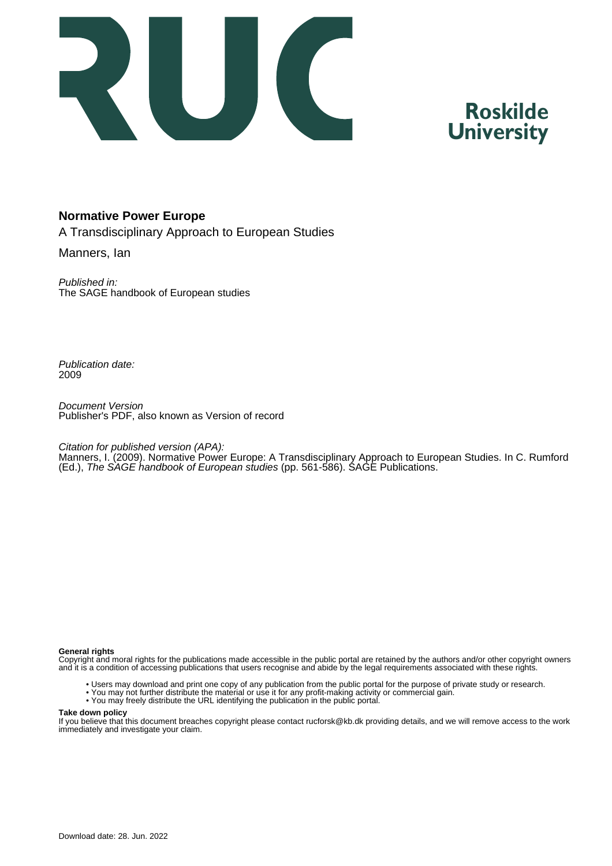

# **Roskilde University**

# **Normative Power Europe**

A Transdisciplinary Approach to European Studies

Manners, Ian

Published in: The SAGE handbook of European studies

Publication date: 2009

Document Version Publisher's PDF, also known as Version of record

Citation for published version (APA):

Manners, I. (2009). Normative Power Europe: A Transdisciplinary Approach to European Studies. In C. Rumford (Ed.), The SAGE handbook of European studies (pp. 561-586). SAGE Publications.

#### **General rights**

Copyright and moral rights for the publications made accessible in the public portal are retained by the authors and/or other copyright owners and it is a condition of accessing publications that users recognise and abide by the legal requirements associated with these rights.

- Users may download and print one copy of any publication from the public portal for the purpose of private study or research.
- You may not further distribute the material or use it for any profit-making activity or commercial gain.
- You may freely distribute the URL identifying the publication in the public portal.

#### **Take down policy**

If you believe that this document breaches copyright please contact rucforsk@kb.dk providing details, and we will remove access to the work immediately and investigate your claim.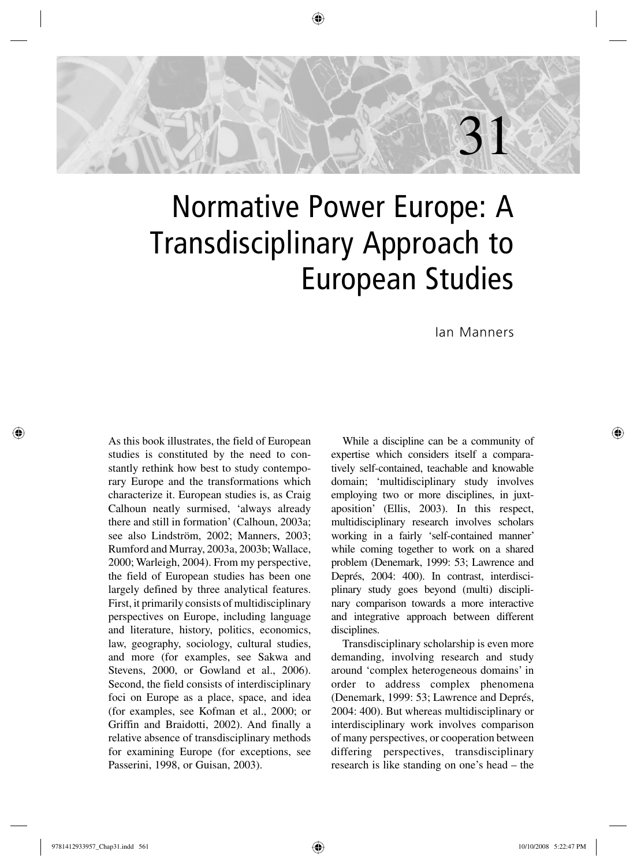

# Normative Power Europe: A Transdisciplinary Approach to European Studies

Ian Manners

As this book illustrates, the field of European studies is constituted by the need to constantly rethink how best to study contemporary Europe and the transformations which characterize it. European studies is, as Craig Calhoun neatly surmised, 'always already there and still in formation' (Calhoun, 2003a; see also Lindström, 2002; Manners, 2003; Rumford and Murray, 2003a, 2003b; Wallace, 2000; Warleigh, 2004). From my perspective, the field of European studies has been one largely defined by three analytical features. First, it primarily consists of multidisciplinary perspectives on Europe, including language and literature, history, politics, economics, law, geography, sociology, cultural studies, and more (for examples, see Sakwa and Stevens, 2000, or Gowland et al., 2006). Second, the field consists of interdisciplinary foci on Europe as a place, space, and idea (for examples, see Kofman et al., 2000; or Griffin and Braidotti, 2002). And finally a relative absence of transdisciplinary methods for examining Europe (for exceptions, see Passerini, 1998, or Guisan, 2003).

While a discipline can be a community of expertise which considers itself a comparatively self-contained, teachable and knowable domain; 'multidisciplinary study involves employing two or more disciplines, in juxtaposition' (Ellis, 2003). In this respect, multidisciplinary research involves scholars working in a fairly 'self-contained manner' while coming together to work on a shared problem (Denemark, 1999: 53; Lawrence and Deprés, 2004: 400). In contrast, interdisciplinary study goes beyond (multi) disciplinary comparison towards a more interactive and integrative approach between different disciplines.

Transdisciplinary scholarship is even more demanding, involving research and study around 'complex heterogeneous domains' in order to address complex phenomena (Denemark, 1999: 53; Lawrence and Deprés, 2004: 400). But whereas multidisciplinary or interdisciplinary work involves comparison of many perspectives, or cooperation between differing perspectives, transdisciplinary research is like standing on one's head – the

↔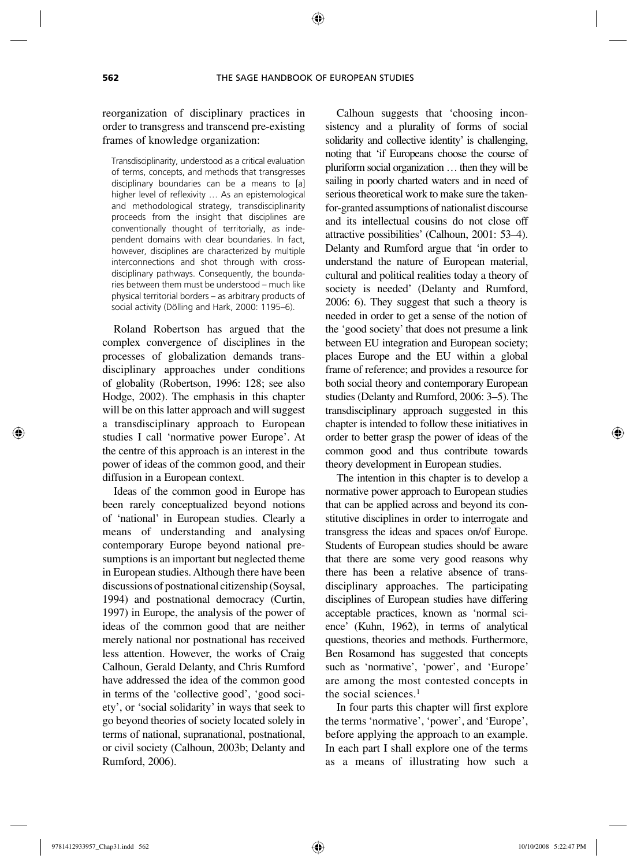#### reorganization of disciplinary practices in order to transgress and transcend pre-existing frames of knowledge organization:

Transdisciplinarity, understood as a critical evaluation of terms, concepts, and methods that transgresses disciplinary boundaries can be a means to [a] higher level of reflexivity … As an epistemological and methodological strategy, transdisciplinarity proceeds from the insight that disciplines are conventionally thought of territorially, as independent domains with clear boundaries. In fact, however, disciplines are characterized by multiple interconnections and shot through with crossdisciplinary pathways. Consequently, the boundaries between them must be understood – much like physical territorial borders – as arbitrary products of social activity (Dölling and Hark, 2000: 1195–6).

Roland Robertson has argued that the complex convergence of disciplines in the processes of globalization demands transdisciplinary approaches under conditions of globality (Robertson, 1996: 128; see also Hodge, 2002). The emphasis in this chapter will be on this latter approach and will suggest a transdisciplinary approach to European studies I call 'normative power Europe'. At the centre of this approach is an interest in the power of ideas of the common good, and their diffusion in a European context.

Ideas of the common good in Europe has been rarely conceptualized beyond notions of 'national' in European studies. Clearly a means of understanding and analysing contemporary Europe beyond national presumptions is an important but neglected theme in European studies. Although there have been discussions of postnational citizenship (Soysal, 1994) and postnational democracy (Curtin, 1997) in Europe, the analysis of the power of ideas of the common good that are neither merely national nor postnational has received less attention. However, the works of Craig Calhoun, Gerald Delanty, and Chris Rumford have addressed the idea of the common good in terms of the 'collective good', 'good society', or 'social solidarity' in ways that seek to go beyond theories of society located solely in terms of national, supranational, postnational, or civil society (Calhoun, 2003b; Delanty and Rumford, 2006).

Calhoun suggests that 'choosing inconsistency and a plurality of forms of social solidarity and collective identity' is challenging, noting that 'if Europeans choose the course of pluriform social organization … then they will be sailing in poorly charted waters and in need of serious theoretical work to make sure the takenfor-granted assumptions of nationalist discourse and its intellectual cousins do not close off attractive possibilities' (Calhoun, 2001: 53–4). Delanty and Rumford argue that 'in order to understand the nature of European material, cultural and political realities today a theory of society is needed' (Delanty and Rumford, 2006: 6). They suggest that such a theory is needed in order to get a sense of the notion of the 'good society' that does not presume a link between EU integration and European society; places Europe and the EU within a global frame of reference; and provides a resource for both social theory and contemporary European studies (Delanty and Rumford, 2006: 3–5). The transdisciplinary approach suggested in this chapter is intended to follow these initiatives in order to better grasp the power of ideas of the common good and thus contribute towards theory development in European studies.

The intention in this chapter is to develop a normative power approach to European studies that can be applied across and beyond its constitutive disciplines in order to interrogate and transgress the ideas and spaces on/of Europe. Students of European studies should be aware that there are some very good reasons why there has been a relative absence of transdisciplinary approaches. The participating disciplines of European studies have differing acceptable practices, known as 'normal science' (Kuhn, 1962), in terms of analytical questions, theories and methods. Furthermore, Ben Rosamond has suggested that concepts such as 'normative', 'power', and 'Europe' are among the most contested concepts in the social sciences.<sup>1</sup>

In four parts this chapter will first explore the terms 'normative', 'power', and 'Europe', before applying the approach to an example. In each part I shall explore one of the terms as a means of illustrating how such a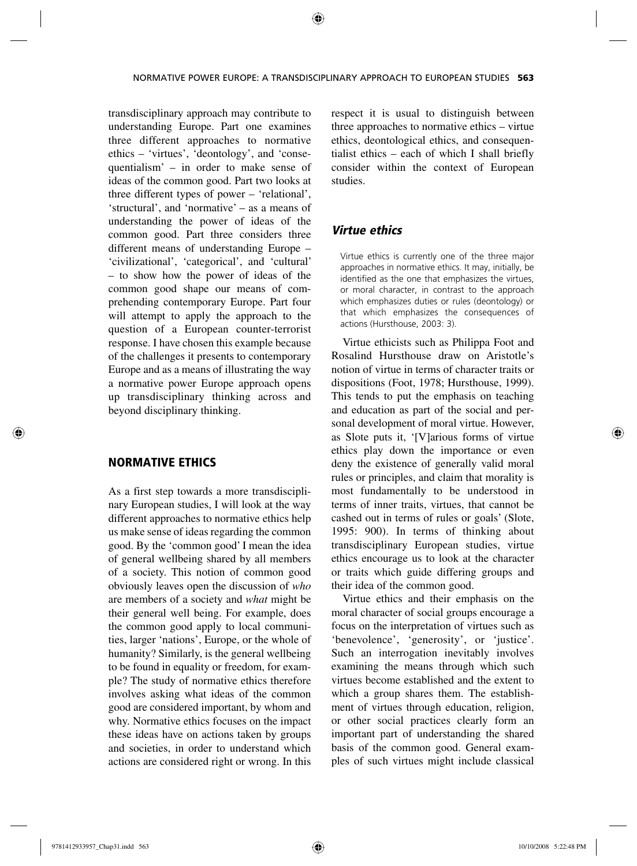trans disciplinary approach may contribute to understanding Europe. Part one examines three different approaches to normative ethics – 'virtues', 'deontology', and 'consequentialism' – in order to make sense of ideas of the common good. Part two looks at three different types of power – 'relational', 'structural', and 'normative' – as a means of understanding the power of ideas of the common good. Part three considers three different means of understanding Europe – 'civilizational', 'categorical', and 'cultural' – to show how the power of ideas of the common good shape our means of comprehending contemporary Europe. Part four will attempt to apply the approach to the question of a European counter-terrorist response. I have chosen this example because of the challenges it presents to contemporary Europe and as a means of illustrating the way a normative power Europe approach opens up transdisciplinary thinking across and beyond disciplinary thinking.

### NORMATIVE ETHICS

As a first step towards a more transdisciplinary European studies, I will look at the way different approaches to normative ethics help us make sense of ideas regarding the common good. By the 'common good' I mean the idea of general wellbeing shared by all members of a society. This notion of common good obviously leaves open the discussion of *who* are members of a society and *what* might be their general well being. For example, does the common good apply to local communities, larger 'nations', Europe, or the whole of humanity? Similarly, is the general wellbeing to be found in equality or freedom, for example? The study of normative ethics therefore involves asking what ideas of the common good are considered important, by whom and why. Normative ethics focuses on the impact these ideas have on actions taken by groups and societies, in order to understand which actions are considered right or wrong. In this respect it is usual to distinguish between three approaches to normative ethics – virtue ethics, deontological ethics, and consequentialist ethics – each of which I shall briefly consider within the context of European studies.

#### *Virtue ethics*

Virtue ethics is currently one of the three major approaches in normative ethics. It may, initially, be identified as the one that emphasizes the virtues, or moral character, in contrast to the approach which emphasizes duties or rules (deontology) or that which emphasizes the consequences of actions (Hursthouse, 2003: 3).

Virtue ethicists such as Philippa Foot and Rosalind Hursthouse draw on Aristotle's notion of virtue in terms of character traits or dispositions (Foot, 1978; Hursthouse, 1999). This tends to put the emphasis on teaching and education as part of the social and personal development of moral virtue. However, as Slote puts it, '[V]arious forms of virtue ethics play down the importance or even deny the existence of generally valid moral rules or principles, and claim that morality is most fundamentally to be understood in terms of inner traits, virtues, that cannot be cashed out in terms of rules or goals' (Slote, 1995: 900). In terms of thinking about transdisciplinary European studies, virtue ethics encourage us to look at the character or traits which guide differing groups and their idea of the common good.

Virtue ethics and their emphasis on the moral character of social groups encourage a focus on the interpretation of virtues such as 'benevolence', 'generosity', or 'justice'. Such an interrogation inevitably involves examining the means through which such virtues become established and the extent to which a group shares them. The establishment of virtues through education, religion, or other social practices clearly form an important part of understanding the shared basis of the common good. General examples of such virtues might include classical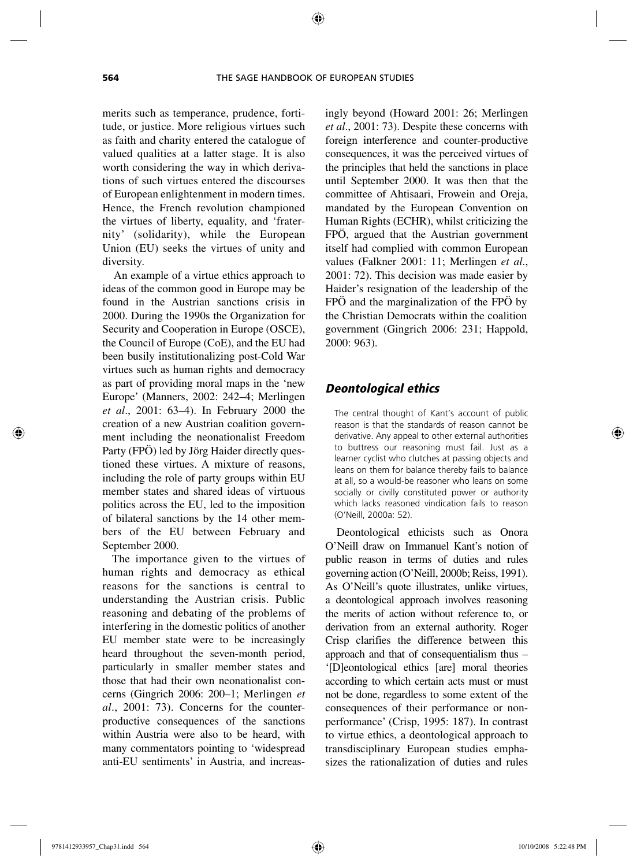merits such as temperance, prudence, fortitude, or justice. More religious virtues such as faith and charity entered the catalogue of valued qualities at a latter stage. It is also worth considering the way in which derivations of such virtues entered the discourses of European enlightenment in modern times. Hence, the French revolution championed the virtues of liberty, equality, and 'fraternity' (solidarity), while the European Union (EU) seeks the virtues of unity and diversity.

An example of a virtue ethics approach to ideas of the common good in Europe may be found in the Austrian sanctions crisis in 2000. During the 1990s the Organization for Security and Cooperation in Europe (OSCE), the Council of Europe (CoE), and the EU had been busily institutionalizing post-Cold War virtues such as human rights and democracy as part of providing moral maps in the 'new Europe' (Manners, 2002: 242–4; Merlingen *et al*., 2001: 63–4). In February 2000 the creation of a new Austrian coalition government including the neonationalist Freedom Party (FPÖ) led by Jörg Haider directly questioned these virtues. A mixture of reasons, including the role of party groups within EU member states and shared ideas of virtuous politics across the EU, led to the imposition of bilateral sanctions by the 14 other members of the EU between February and September 2000.

The importance given to the virtues of human rights and democracy as ethical reasons for the sanctions is central to understanding the Austrian crisis. Public reasoning and debating of the problems of interfering in the domestic politics of another EU member state were to be increasingly heard throughout the seven-month period, particularly in smaller member states and those that had their own neonationalist concerns (Gingrich 2006: 200–1; Merlingen *et al*., 2001: 73). Concerns for the counterproductive consequences of the sanctions within Austria were also to be heard, with many commentators pointing to 'widespread anti-EU sentiments' in Austria, and increasingly beyond (Howard 2001: 26; Merlingen *et al*., 2001: 73). Despite these concerns with foreign interference and counter-productive consequences, it was the perceived virtues of the principles that held the sanctions in place until September 2000. It was then that the committee of Ahtisaari, Frowein and Oreja, mandated by the European Convention on Human Rights (ECHR), whilst criticizing the FPÖ, argued that the Austrian government itself had complied with common European values (Falkner 2001: 11; Merlingen *et al*., 2001: 72). This decision was made easier by Haider's resignation of the leadership of the FPÖ and the marginalization of the FPÖ by the Christian Democrats within the coalition government (Gingrich 2006: 231; Happold, 2000: 963).

#### *Deontological ethics*

The central thought of Kant's account of public reason is that the standards of reason cannot be derivative. Any appeal to other external authorities to buttress our reasoning must fail. Just as a learner cyclist who clutches at passing objects and leans on them for balance thereby fails to balance at all, so a would-be reasoner who leans on some socially or civilly constituted power or authority which lacks reasoned vindication fails to reason (O'Neill, 2000a: 52).

Deontological ethicists such as Onora O'Neill draw on Immanuel Kant's notion of public reason in terms of duties and rules governing action (O'Neill, 2000b; Reiss, 1991). As O'Neill's quote illustrates, unlike virtues, a deontological approach involves reasoning the merits of action without reference to, or derivation from an external authority. Roger Crisp clarifies the difference between this approach and that of consequentialism thus – '[D]eontological ethics [are] moral theories according to which certain acts must or must not be done, regardless to some extent of the consequences of their performance or nonperformance' (Crisp, 1995: 187). In contrast to virtue ethics, a deontological approach to transdisciplinary European studies emphasizes the rationalization of duties and rules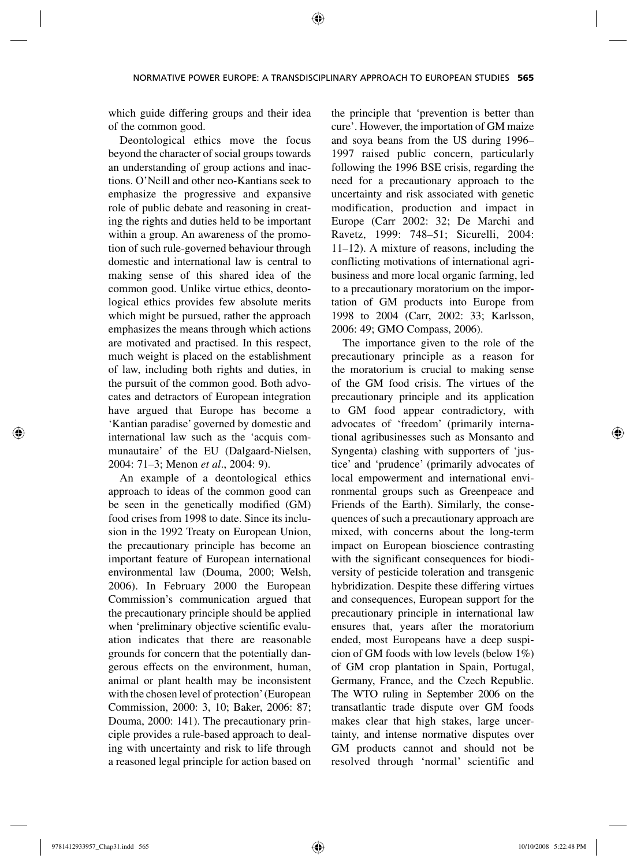which guide differing groups and their idea of the common good.

Deontological ethics move the focus beyond the character of social groups towards an understanding of group actions and inactions. O'Neill and other neo-Kantians seek to emphasize the progressive and expansive role of public debate and reasoning in creating the rights and duties held to be important within a group. An awareness of the promotion of such rule-governed behaviour through domestic and international law is central to making sense of this shared idea of the common good. Unlike virtue ethics, deontological ethics provides few absolute merits which might be pursued, rather the approach emphasizes the means through which actions are motivated and practised. In this respect, much weight is placed on the establishment of law, including both rights and duties, in the pursuit of the common good. Both advocates and detractors of European integration have argued that Europe has become a 'Kantian paradise' governed by domestic and international law such as the 'acquis communautaire' of the EU (Dalgaard-Nielsen, 2004: 71–3; Menon *et al*., 2004: 9).

An example of a deontological ethics approach to ideas of the common good can be seen in the genetically modified (GM) food crises from 1998 to date. Since its inclusion in the 1992 Treaty on European Union, the precautionary principle has become an important feature of European international environmental law (Douma, 2000; Welsh, 2006). In February 2000 the European Commission's communication argued that the precautionary principle should be applied when 'preliminary objective scientific evaluation indicates that there are reasonable grounds for concern that the potentially dangerous effects on the environment, human, animal or plant health may be inconsistent with the chosen level of protection' (European Commission, 2000: 3, 10; Baker, 2006: 87; Douma, 2000: 141). The precautionary principle provides a rule-based approach to dealing with uncertainty and risk to life through a reasoned legal principle for action based on the principle that 'prevention is better than cure'. However, the importation of GM maize and soya beans from the US during 1996– 1997 raised public concern, particularly following the 1996 BSE crisis, regarding the need for a precautionary approach to the uncertainty and risk associated with genetic modification, production and impact in Europe (Carr 2002: 32; De Marchi and Ravetz, 1999: 748–51; Sicurelli, 2004: 11–12). A mixture of reasons, including the conflicting motivations of international agribusiness and more local organic farming, led to a precautionary moratorium on the importation of GM products into Europe from 1998 to 2004 (Carr, 2002: 33; Karlsson, 2006: 49; GMO Compass, 2006).

The importance given to the role of the precautionary principle as a reason for the moratorium is crucial to making sense of the GM food crisis. The virtues of the precautionary principle and its application to GM food appear contradictory, with advocates of 'freedom' (primarily international agribusinesses such as Monsanto and Syngenta) clashing with supporters of 'justice' and 'prudence' (primarily advocates of local empowerment and international environmental groups such as Greenpeace and Friends of the Earth). Similarly, the consequences of such a precautionary approach are mixed, with concerns about the long-term impact on European bioscience contrasting with the significant consequences for biodiversity of pesticide toleration and transgenic hybridization. Despite these differing virtues and consequences, European support for the precautionary principle in international law ensures that, years after the moratorium ended, most Europeans have a deep suspicion of GM foods with low levels (below 1%) of GM crop plantation in Spain, Portugal, Germany, France, and the Czech Republic. The WTO ruling in September 2006 on the transatlantic trade dispute over GM foods makes clear that high stakes, large uncertainty, and intense normative disputes over GM products cannot and should not be resolved through 'normal' scientific and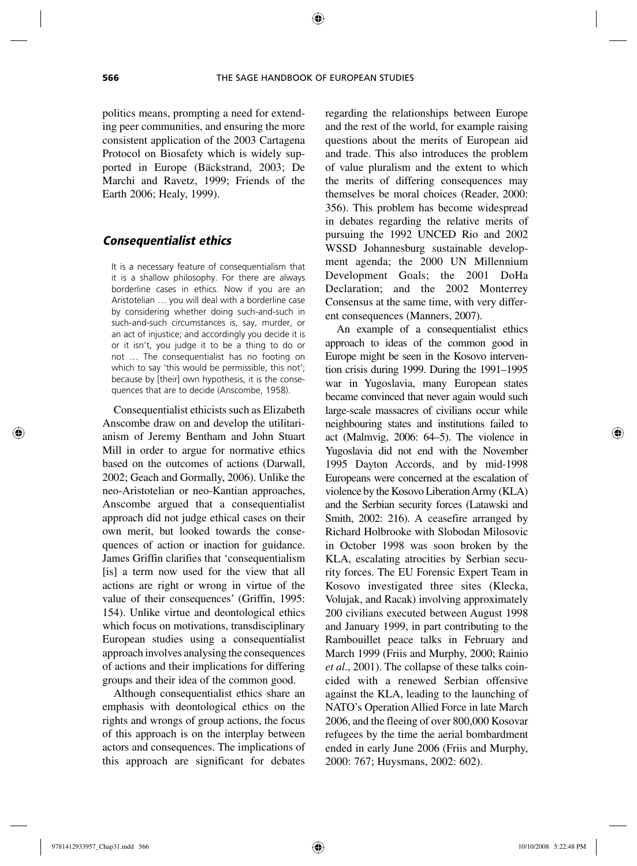politics means, prompting a need for extending peer communities, and ensuring the more consistent application of the 2003 Cartagena Protocol on Biosafety which is widely supported in Europe (Bäckstrand, 2003; De Marchi and Ravetz, 1999; Friends of the Earth 2006; Healy, 1999).

#### *Consequentialist ethics*

It is a necessary feature of consequentialism that it is a shallow philosophy. For there are always borderline cases in ethics. Now if you are an Aristotelian … you will deal with a borderline case by considering whether doing such-and-such in such-and-such circumstances is, say, murder, or an act of injustice; and accordingly you decide it is or it isn't, you judge it to be a thing to do or not … The consequentialist has no footing on which to say 'this would be permissible, this not'; because by [their] own hypothesis, it is the consequences that are to decide (Anscombe, 1958).

Consequentialist ethicists such as Elizabeth Anscombe draw on and develop the utilitarianism of Jeremy Bentham and John Stuart Mill in order to argue for normative ethics based on the outcomes of actions (Darwall, 2002; Geach and Gormally, 2006). Unlike the neo-Aristotelian or neo-Kantian approaches, Anscombe argued that a consequentialist approach did not judge ethical cases on their own merit, but looked towards the consequences of action or inaction for guidance. James Griffin clarifies that 'consequentialism [is] a term now used for the view that all actions are right or wrong in virtue of the value of their consequences' (Griffin, 1995: 154). Unlike virtue and deontological ethics which focus on motivations, transdisciplinary European studies using a consequentialist approach involves analysing the consequences of actions and their implications for differing groups and their idea of the common good.

Although consequentialist ethics share an emphasis with deontological ethics on the rights and wrongs of group actions, the focus of this approach is on the interplay between actors and consequences. The implications of this approach are significant for debates

regarding the relationships between Europe and the rest of the world, for example raising questions about the merits of European aid and trade. This also introduces the problem of value pluralism and the extent to which the merits of differing consequences may themselves be moral choices (Reader, 2000: 356). This problem has become widespread in debates regarding the relative merits of pursuing the 1992 UNCED Rio and 2002 WSSD Johannesburg sustainable development agenda; the 2000 UN Millennium Development Goals; the 2001 DoHa Declaration; and the 2002 Monterrey Consensus at the same time, with very different consequences (Manners, 2007).

An example of a consequentialist ethics approach to ideas of the common good in Europe might be seen in the Kosovo intervention crisis during 1999. During the 1991–1995 war in Yugoslavia, many European states became convinced that never again would such large-scale massacres of civilians occur while neighbouring states and institutions failed to act (Malmvig, 2006: 64–5). The violence in Yugoslavia did not end with the November 1995 Dayton Accords, and by mid-1998 Europeans were concerned at the escalation of violence by the Kosovo Liberation Army (KLA) and the Serbian security forces (Latawski and Smith, 2002: 216). A ceasefire arranged by Richard Holbrooke with Slobodan Milosovic in October 1998 was soon broken by the KLA, escalating atrocities by Serbian security forces. The EU Forensic Expert Team in Kosovo investigated three sites (Klecka, Volujak, and Racak) involving approximately 200 civilians executed between August 1998 and January 1999, in part contributing to the Rambouillet peace talks in February and March 1999 (Friis and Murphy, 2000; Rainio *et al*., 2001). The collapse of these talks coincided with a renewed Serbian offensive against the KLA, leading to the launching of NATO's Operation Allied Force in late March 2006, and the fleeing of over 800,000 Kosovar refugees by the time the aerial bombardment ended in early June 2006 (Friis and Murphy, 2000: 767; Huysmans, 2002: 602).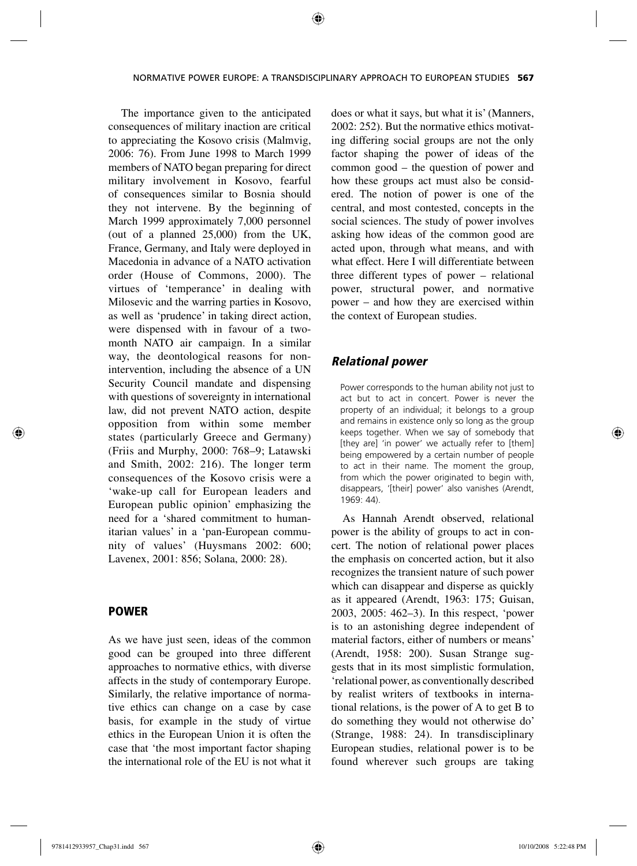The importance given to the anticipated consequences of military inaction are critical to appreciating the Kosovo crisis (Malmvig, 2006: 76). From June 1998 to March 1999 members of NATO began preparing for direct military involvement in Kosovo, fearful of consequences similar to Bosnia should they not intervene. By the beginning of March 1999 approximately 7,000 personnel (out of a planned 25,000) from the UK, France, Germany, and Italy were deployed in Macedonia in advance of a NATO activation order (House of Commons, 2000). The virtues of 'temperance' in dealing with Milosevic and the warring parties in Kosovo, as well as 'prudence' in taking direct action, were dispensed with in favour of a twomonth NATO air campaign. In a similar way, the deontological reasons for nonintervention, including the absence of a UN Security Council mandate and dispensing with questions of sovereignty in international law, did not prevent NATO action, despite opposition from within some member states (particularly Greece and Germany) (Friis and Murphy, 2000: 768–9; Latawski and Smith, 2002: 216). The longer term consequences of the Kosovo crisis were a 'wake-up call for European leaders and European public opinion' emphasizing the need for a 'shared commitment to humanitarian values' in a 'pan-European community of values' (Huysmans 2002: 600; Lavenex, 2001: 856; Solana, 2000: 28).

#### POWER

As we have just seen, ideas of the common good can be grouped into three different approaches to normative ethics, with diverse affects in the study of contemporary Europe. Similarly, the relative importance of normative ethics can change on a case by case basis, for example in the study of virtue ethics in the European Union it is often the case that 'the most important factor shaping the international role of the EU is not what it does or what it says, but what it is' (Manners, 2002: 252). But the normative ethics motivating differing social groups are not the only factor shaping the power of ideas of the common good – the question of power and how these groups act must also be considered. The notion of power is one of the central, and most contested, concepts in the social sciences. The study of power involves asking how ideas of the common good are acted upon, through what means, and with what effect. Here I will differentiate between three different types of power – relational power, structural power, and normative power – and how they are exercised within the context of European studies.

#### *Relational power*

Power corresponds to the human ability not just to act but to act in concert. Power is never the property of an individual; it belongs to a group and remains in existence only so long as the group keeps together. When we say of somebody that [they are] 'in power' we actually refer to [them] being empowered by a certain number of people to act in their name. The moment the group, from which the power originated to begin with, disappears, '[their] power' also vanishes (Arendt, 1969: 44).

As Hannah Arendt observed, relational power is the ability of groups to act in concert. The notion of relational power places the emphasis on concerted action, but it also recognizes the transient nature of such power which can disappear and disperse as quickly as it appeared (Arendt, 1963: 175; Guisan, 2003, 2005: 462–3). In this respect, 'power is to an astonishing degree independent of material factors, either of numbers or means' (Arendt, 1958: 200). Susan Strange suggests that in its most simplistic formulation, 'relational power, as conventionally described by realist writers of textbooks in international relations, is the power of A to get B to do something they would not otherwise do' (Strange, 1988: 24). In transdisciplinary European studies, relational power is to be found wherever such groups are taking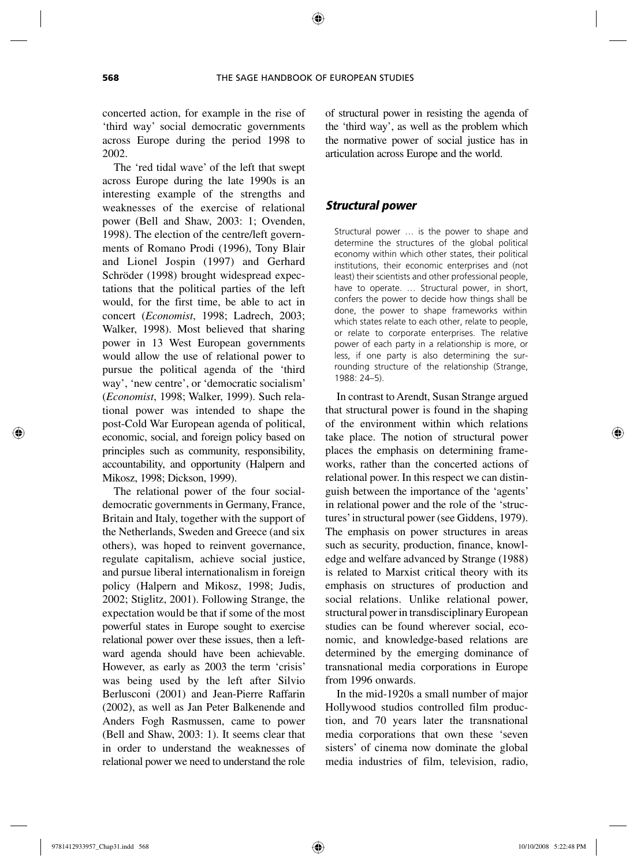concerted action, for example in the rise of 'third way' social democratic governments across Europe during the period 1998 to 2002.

The 'red tidal wave' of the left that swept across Europe during the late 1990s is an interesting example of the strengths and weaknesses of the exercise of relational power (Bell and Shaw, 2003: 1; Ovenden, 1998). The election of the centre/left governments of Romano Prodi (1996), Tony Blair and Lionel Jospin (1997) and Gerhard Schröder (1998) brought widespread expectations that the political parties of the left would, for the first time, be able to act in concert (*Economist*, 1998; Ladrech, 2003; Walker, 1998). Most believed that sharing power in 13 West European governments would allow the use of relational power to pursue the political agenda of the 'third way', 'new centre', or 'democratic socialism' (*Economist*, 1998; Walker, 1999). Such relational power was intended to shape the post-Cold War European agenda of political, economic, social, and foreign policy based on principles such as community, responsibility, accountability, and opportunity (Halpern and Mikosz, 1998; Dickson, 1999).

The relational power of the four socialdemocratic governments in Germany, France, Britain and Italy, together with the support of the Netherlands, Sweden and Greece (and six others), was hoped to reinvent governance, regulate capitalism, achieve social justice, and pursue liberal internationalism in foreign policy (Halpern and Mikosz, 1998; Judis, 2002; Stiglitz, 2001). Following Strange, the expectation would be that if some of the most powerful states in Europe sought to exercise relational power over these issues, then a leftward agenda should have been achievable. However, as early as 2003 the term 'crisis' was being used by the left after Silvio Berlusconi (2001) and Jean-Pierre Raffarin (2002), as well as Jan Peter Balkenende and Anders Fogh Rasmussen, came to power (Bell and Shaw, 2003: 1). It seems clear that in order to understand the weaknesses of relational power we need to understand the role

of structural power in resisting the agenda of the 'third way', as well as the problem which the normative power of social justice has in articulation across Europe and the world.

# *Structural power*

Structural power … is the power to shape and determine the structures of the global political economy within which other states, their political institutions, their economic enterprises and (not least) their scientists and other professional people, have to operate. … Structural power, in short, confers the power to decide how things shall be done, the power to shape frameworks within which states relate to each other, relate to people, or relate to corporate enterprises. The relative power of each party in a relationship is more, or less, if one party is also determining the surrounding structure of the relationship (Strange, 1988: 24–5).

In contrast to Arendt, Susan Strange argued that structural power is found in the shaping of the environment within which relations take place. The notion of structural power places the emphasis on determining frameworks, rather than the concerted actions of relational power. In this respect we can distinguish between the importance of the 'agents' in relational power and the role of the 'structures' in structural power (see Giddens, 1979). The emphasis on power structures in areas such as security, production, finance, knowledge and welfare advanced by Strange (1988) is related to Marxist critical theory with its emphasis on structures of production and social relations. Unlike relational power, structural power in transdisciplinary European studies can be found wherever social, economic, and knowledge-based relations are determined by the emerging dominance of transnational media corporations in Europe from 1996 onwards.

In the mid-1920s a small number of major Hollywood studios controlled film production, and 70 years later the transnational media corporations that own these 'seven sisters' of cinema now dominate the global media industries of film, television, radio,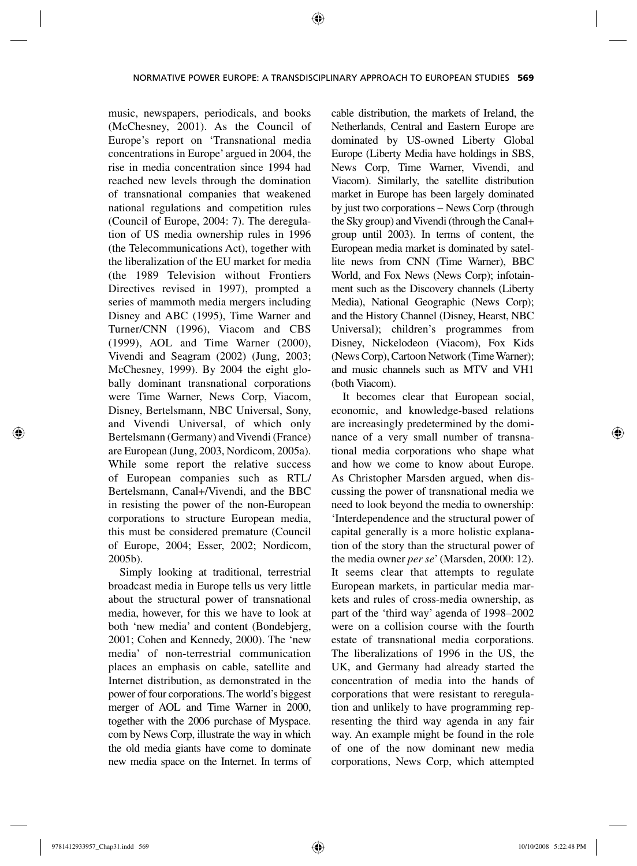music, newspapers, periodicals, and books (McChesney, 2001). As the Council of Europe's report on 'Transnational media concentrations in Europe' argued in 2004, the rise in media concentration since 1994 had reached new levels through the domination of transnational companies that weakened national regulations and competition rules (Council of Europe, 2004: 7). The deregulation of US media ownership rules in 1996 (the Telecommunications Act), together with the liberalization of the EU market for media (the 1989 Television without Frontiers Directives revised in 1997), prompted a series of mammoth media mergers including Disney and ABC (1995), Time Warner and Turner/CNN (1996), Viacom and CBS (1999), AOL and Time Warner (2000), Vivendi and Seagram (2002) (Jung, 2003; McChesney, 1999). By 2004 the eight globally dominant transnational corporations were Time Warner, News Corp, Viacom, Disney, Bertelsmann, NBC Universal, Sony, and Vivendi Universal, of which only Bertelsmann (Germany) and Vivendi (France) are European (Jung, 2003, Nordicom, 2005a). While some report the relative success of European companies such as RTL/ Bertelsmann, Canal+/Vivendi, and the BBC in resisting the power of the non-European corporations to structure European media, this must be considered premature (Council of Europe, 2004; Esser, 2002; Nordicom, 2005b).

Simply looking at traditional, terrestrial broadcast media in Europe tells us very little about the structural power of transnational media, however, for this we have to look at both 'new media' and content (Bondebjerg, 2001; Cohen and Kennedy, 2000). The 'new media' of non-terrestrial communication places an emphasis on cable, satellite and Internet distribution, as demonstrated in the power of four corporations. The world's biggest merger of AOL and Time Warner in 2000, together with the 2006 purchase of Myspace. com by News Corp, illustrate the way in which the old media giants have come to dominate new media space on the Internet. In terms of cable distribution, the markets of Ireland, the Netherlands, Central and Eastern Europe are dominated by US-owned Liberty Global Europe (Liberty Media have holdings in SBS, News Corp, Time Warner, Vivendi, and Viacom). Similarly, the satellite distribution market in Europe has been largely dominated by just two corporations – News Corp (through the Sky group) and Vivendi (through the Canal+ group until 2003). In terms of content, the European media market is dominated by satellite news from CNN (Time Warner), BBC World, and Fox News (News Corp); infotainment such as the Discovery channels (Liberty Media), National Geographic (News Corp); and the History Channel (Disney, Hearst, NBC Universal); children's programmes from Disney, Nickelodeon (Viacom), Fox Kids (News Corp), Cartoon Network (Time Warner); and music channels such as MTV and VH1 (both Viacom).

It becomes clear that European social, economic, and knowledge-based relations are increasingly predetermined by the dominance of a very small number of transnational media corporations who shape what and how we come to know about Europe. As Christopher Marsden argued, when discussing the power of transnational media we need to look beyond the media to ownership: 'Interdependence and the structural power of capital generally is a more holistic explanation of the story than the structural power of the media owner *per se*' (Marsden, 2000: 12). It seems clear that attempts to regulate European markets, in particular media markets and rules of cross-media ownership, as part of the 'third way' agenda of 1998–2002 were on a collision course with the fourth estate of transnational media corporations. The liberalizations of 1996 in the US, the UK, and Germany had already started the concentration of media into the hands of corporations that were resistant to reregulation and unlikely to have programming representing the third way agenda in any fair way. An example might be found in the role of one of the now dominant new media corporations, News Corp, which attempted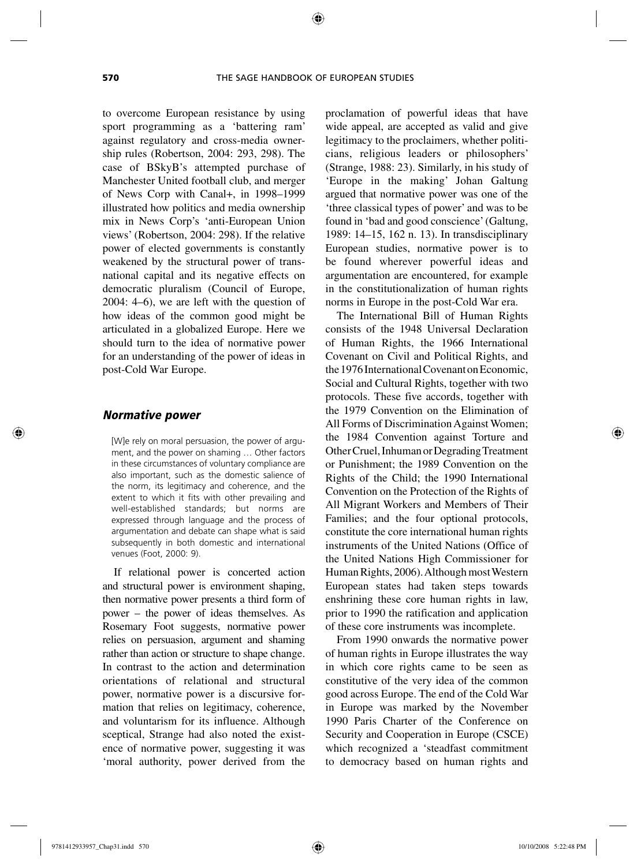to overcome European resistance by using sport programming as a 'battering ram' against regulatory and cross-media ownership rules (Robertson, 2004: 293, 298). The case of BSkyB's attempted purchase of Manchester United football club, and merger of News Corp with Canal+, in 1998–1999 illustrated how politics and media ownership mix in News Corp's 'anti-European Union views' (Robertson, 2004: 298). If the relative power of elected governments is constantly weakened by the structural power of transnational capital and its negative effects on democratic pluralism (Council of Europe, 2004: 4–6), we are left with the question of how ideas of the common good might be articulated in a globalized Europe. Here we should turn to the idea of normative power for an understanding of the power of ideas in post-Cold War Europe.

#### *Normative power*

[W]e rely on moral persuasion, the power of argument, and the power on shaming … Other factors in these circumstances of voluntary compliance are also important, such as the domestic salience of the norm, its legitimacy and coherence, and the extent to which it fits with other prevailing and well-established standards; but norms are expressed through language and the process of argumentation and debate can shape what is said subsequently in both domestic and international venues (Foot, 2000: 9).

If relational power is concerted action and structural power is environment shaping, then normative power presents a third form of power – the power of ideas themselves. As Rosemary Foot suggests, normative power relies on persuasion, argument and shaming rather than action or structure to shape change. In contrast to the action and determination orientations of relational and structural power, normative power is a discursive formation that relies on legitimacy, coherence, and voluntarism for its influence. Although sceptical, Strange had also noted the existence of normative power, suggesting it was 'moral authority, power derived from the

proclamation of powerful ideas that have wide appeal, are accepted as valid and give legitimacy to the proclaimers, whether politicians, religious leaders or philosophers' (Strange, 1988: 23). Similarly, in his study of 'Europe in the making' Johan Galtung argued that normative power was one of the 'three classical types of power' and was to be found in 'bad and good conscience' (Galtung, 1989: 14–15, 162 n. 13). In transdisciplinary European studies, normative power is to be found wherever powerful ideas and argumentation are encountered, for example in the constitutionalization of human rights norms in Europe in the post-Cold War era.

The International Bill of Human Rights consists of the 1948 Universal Declaration of Human Rights, the 1966 International Covenant on Civil and Political Rights, and the 1976 International Covenant on Economic, Social and Cultural Rights, together with two protocols. These five accords, together with the 1979 Convention on the Elimination of All Forms of Discrimination Against Women; the 1984 Convention against Torture and Other Cruel, Inhuman or Degrading Treatment or Punishment; the 1989 Convention on the Rights of the Child; the 1990 International Convention on the Protection of the Rights of All Migrant Workers and Members of Their Families; and the four optional protocols, constitute the core international human rights instruments of the United Nations (Office of the United Nations High Commissioner for Human Rights, 2006). Although most Western European states had taken steps towards enshrining these core human rights in law, prior to 1990 the ratification and application of these core instruments was incomplete.

From 1990 onwards the normative power of human rights in Europe illustrates the way in which core rights came to be seen as constitutive of the very idea of the common good across Europe. The end of the Cold War in Europe was marked by the November 1990 Paris Charter of the Conference on Security and Cooperation in Europe (CSCE) which recognized a 'steadfast commitment to democracy based on human rights and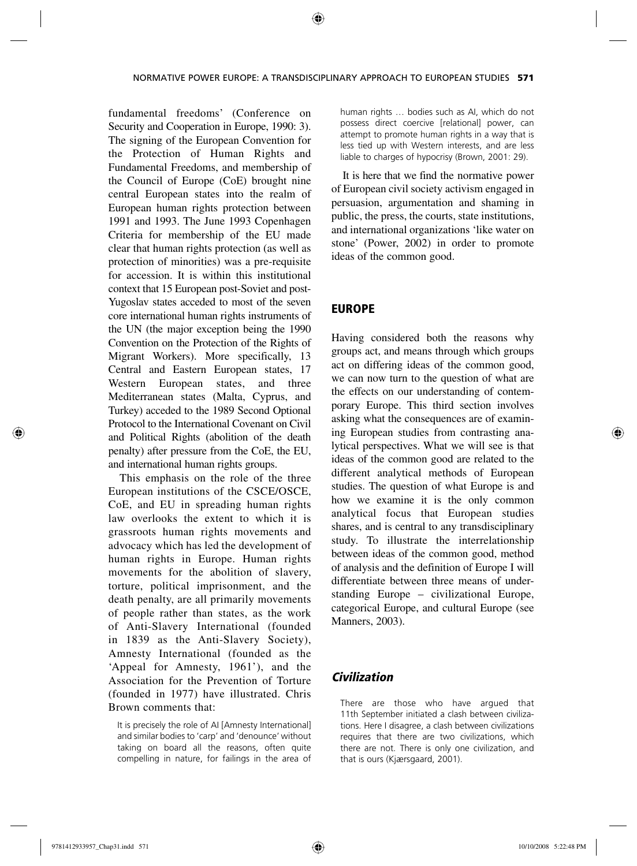fundamental freedoms' (Conference on Security and Cooperation in Europe, 1990: 3). The signing of the European Convention for the Protection of Human Rights and Fundamental Freedoms, and membership of the Council of Europe (CoE) brought nine central European states into the realm of European human rights protection between 1991 and 1993. The June 1993 Copenhagen Criteria for membership of the EU made clear that human rights protection (as well as protection of minorities) was a pre-requisite for accession. It is within this institutional context that 15 European post-Soviet and post-Yugoslav states acceded to most of the seven core international human rights instruments of the UN (the major exception being the 1990 Convention on the Protection of the Rights of Migrant Workers). More specifically, 13 Central and Eastern European states, 17 Western European states, and three Mediterranean states (Malta, Cyprus, and Turkey) acceded to the 1989 Second Optional Protocol to the International Covenant on Civil and Political Rights (abolition of the death penalty) after pressure from the CoE, the EU, and international human rights groups.

This emphasis on the role of the three European institutions of the CSCE/OSCE, CoE, and EU in spreading human rights law overlooks the extent to which it is grassroots human rights movements and advocacy which has led the development of human rights in Europe. Human rights movements for the abolition of slavery, torture, political imprisonment, and the death penalty, are all primarily movements of people rather than states, as the work of Anti-Slavery International (founded in 1839 as the Anti-Slavery Society), Amnesty International (founded as the 'Appeal for Amnesty, 1961'), and the Association for the Prevention of Torture (founded in 1977) have illustrated. Chris Brown comments that:

It is precisely the role of AI [Amnesty International] and similar bodies to 'carp' and 'denounce' without taking on board all the reasons, often quite compelling in nature, for failings in the area of human rights … bodies such as AI, which do not possess direct coercive [relational] power, can attempt to promote human rights in a way that is less tied up with Western interests, and are less liable to charges of hypocrisy (Brown, 2001: 29).

It is here that we find the normative power of European civil society activism engaged in persuasion, argumentation and shaming in public, the press, the courts, state institutions, and international organizations 'like water on stone' (Power, 2002) in order to promote ideas of the common good.

### EUROPE

Having considered both the reasons why groups act, and means through which groups act on differing ideas of the common good, we can now turn to the question of what are the effects on our understanding of contemporary Europe. This third section involves asking what the consequences are of examining European studies from contrasting analytical perspectives. What we will see is that ideas of the common good are related to the different analytical methods of European studies. The question of what Europe is and how we examine it is the only common analytical focus that European studies shares, and is central to any transdisciplinary study. To illustrate the interrelationship between ideas of the common good, method of analysis and the definition of Europe I will differentiate between three means of understanding Europe – civilizational Europe, categorical Europe, and cultural Europe (see Manners, 2003).

#### *Civilization*

There are those who have argued that 11th September initiated a clash between civilizations. Here I disagree, a clash between civilizations requires that there are two civilizations, which there are not. There is only one civilization, and that is ours (Kjærsgaard, 2001).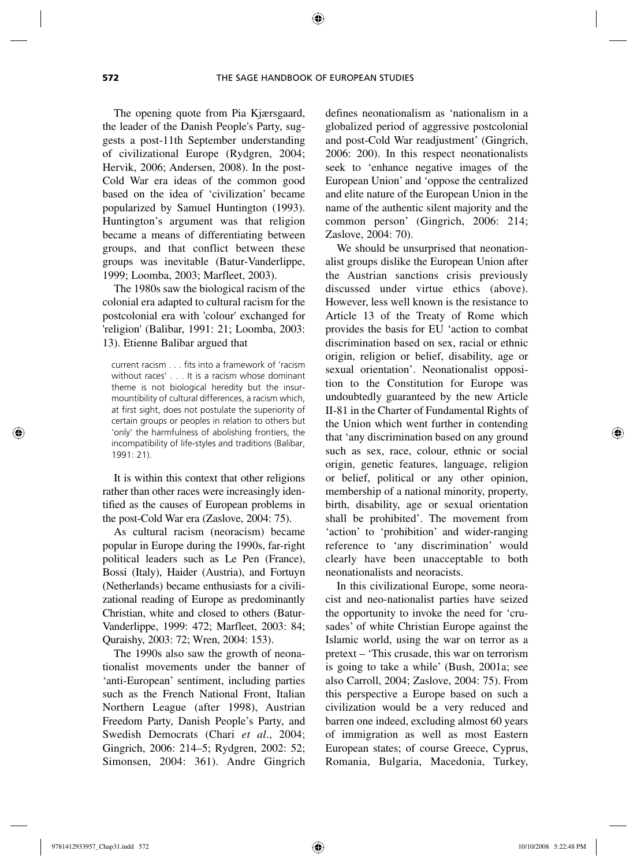The opening quote from Pia Kjærsgaard, the leader of the Danish People's Party, suggests a post-11th September understanding of civilizational Europe (Rydgren, 2004; Hervik, 2006; Andersen, 2008). In the post-Cold War era ideas of the common good based on the idea of 'civilization' became popularized by Samuel Huntington (1993). Huntington's argument was that religion became a means of differentiating between groups, and that conflict between these groups was inevitable (Batur-Vanderlippe, 1999; Loomba, 2003; Marfleet, 2003).

The 1980s saw the biological racism of the colonial era adapted to cultural racism for the postcolonial era with 'colour' exchanged for 'religion' (Balibar, 1991: 21; Loomba, 2003: 13). Etienne Balibar argued that

current racism . . . fits into a framework of 'racism without races' . . . It is a racism whose dominant theme is not biological heredity but the insurmountibility of cultural differences, a racism which, at first sight, does not postulate the superiority of certain groups or peoples in relation to others but 'only' the harmfulness of abolishing frontiers, the incompatibility of life-styles and traditions (Balibar, 1991: 21).

It is within this context that other religions rather than other races were increasingly identified as the causes of European problems in the post-Cold War era (Zaslove, 2004: 75).

As cultural racism (neoracism) became popular in Europe during the 1990s, far-right political leaders such as Le Pen (France), Bossi (Italy), Haider (Austria), and Fortuyn (Netherlands) became enthusiasts for a civilizational reading of Europe as predominantly Christian, white and closed to others (Batur-Vanderlippe, 1999: 472; Marfleet, 2003: 84; Quraishy, 2003: 72; Wren, 2004: 153).

The 1990s also saw the growth of neonationalist movements under the banner of 'anti-European' sentiment, including parties such as the French National Front, Italian Northern League (after 1998), Austrian Freedom Party, Danish People's Party, and Swedish Democrats (Chari *et al*., 2004; Gingrich, 2006: 214–5; Rydgren, 2002: 52; Simonsen, 2004: 361). Andre Gingrich defines neonationalism as 'nationalism in a globalized period of aggressive postcolonial and post-Cold War readjustment' (Gingrich, 2006: 200). In this respect neonationalists seek to 'enhance negative images of the European Union' and 'oppose the centralized and elite nature of the European Union in the name of the authentic silent majority and the common person' (Gingrich, 2006: 214; Zaslove, 2004: 70).

We should be unsurprised that neonationalist groups dislike the European Union after the Austrian sanctions crisis previously discussed under virtue ethics (above). However, less well known is the resistance to Article 13 of the Treaty of Rome which provides the basis for EU 'action to combat discrimination based on sex, racial or ethnic origin, religion or belief, disability, age or sexual orientation'. Neonationalist opposition to the Constitution for Europe was undoubtedly guaranteed by the new Article II-81 in the Charter of Fundamental Rights of the Union which went further in contending that 'any discrimination based on any ground such as sex, race, colour, ethnic or social origin, genetic features, language, religion or belief, political or any other opinion, membership of a national minority, property, birth, disability, age or sexual orientation shall be prohibited'. The movement from 'action' to 'prohibition' and wider-ranging reference to 'any discrimination' would clearly have been unacceptable to both neonationalists and neoracists.

In this civilizational Europe, some neoracist and neo-nationalist parties have seized the opportunity to invoke the need for 'crusades' of white Christian Europe against the Islamic world, using the war on terror as a pretext – 'This crusade, this war on terrorism is going to take a while' (Bush, 2001a; see also Carroll, 2004; Zaslove, 2004: 75). From this perspective a Europe based on such a civilization would be a very reduced and barren one indeed, excluding almost 60 years of immigration as well as most Eastern European states; of course Greece, Cyprus, Romania, Bulgaria, Macedonia, Turkey,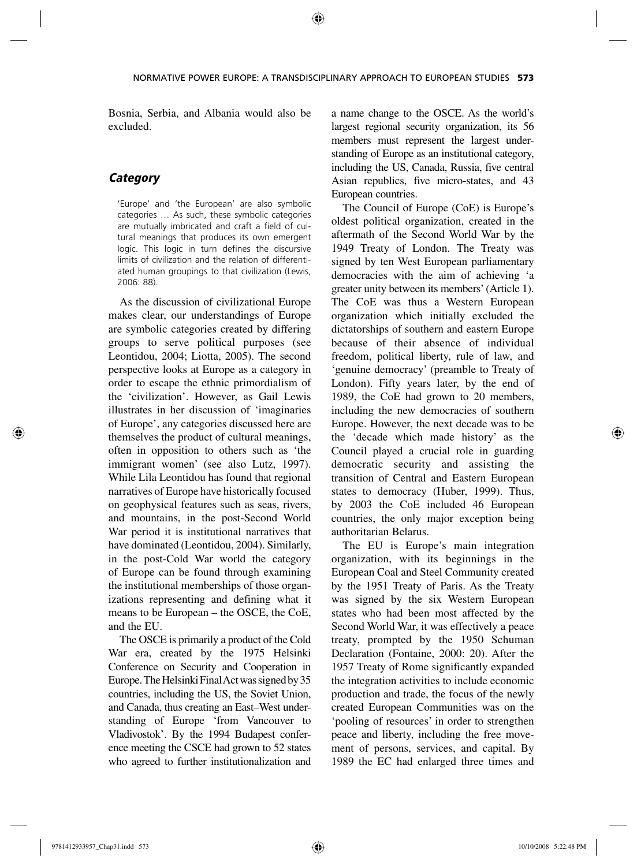Bosnia, Serbia, and Albania would also be excluded.

# *Category*

'Europe' and 'the European' are also symbolic categories … As such, these symbolic categories are mutually imbricated and craft a field of cultural meanings that produces its own emergent logic. This logic in turn defines the discursive limits of civilization and the relation of differentiated human groupings to that civilization (Lewis, 2006: 88).

As the discussion of civilizational Europe makes clear, our understandings of Europe are symbolic categories created by differing groups to serve political purposes (see Leontidou, 2004; Liotta, 2005). The second perspective looks at Europe as a category in order to escape the ethnic primordialism of the 'civilization'. However, as Gail Lewis illustrates in her discussion of 'imaginaries of Europe', any categories discussed here are themselves the product of cultural meanings, often in opposition to others such as 'the immigrant women' (see also Lutz, 1997). While Lila Leontidou has found that regional narratives of Europe have historically focused on geophysical features such as seas, rivers, and mountains, in the post-Second World War period it is institutional narratives that have dominated (Leontidou, 2004). Similarly, in the post-Cold War world the category of Europe can be found through examining the institutional memberships of those organizations representing and defining what it means to be European – the OSCE, the CoE, and the EU.

The OSCE is primarily a product of the Cold War era, created by the 1975 Helsinki Conference on Security and Cooperation in Europe. The Helsinki Final Act was signed by 35 countries, including the US, the Soviet Union, and Canada, thus creating an East–West understanding of Europe 'from Vancouver to Vladivostok'. By the 1994 Budapest conference meeting the CSCE had grown to 52 states who agreed to further institutionalization and a name change to the OSCE. As the world's largest regional security organization, its 56 members must represent the largest understanding of Europe as an institutional category, including the US, Canada, Russia, five central Asian republics, five micro-states, and 43 European countries.

The Council of Europe (CoE) is Europe's oldest political organization, created in the aftermath of the Second World War by the 1949 Treaty of London. The Treaty was signed by ten West European parliamentary democracies with the aim of achieving 'a greater unity between its members' (Article 1). The CoE was thus a Western European organization which initially excluded the dictatorships of southern and eastern Europe because of their absence of individual freedom, political liberty, rule of law, and 'genuine democracy' (preamble to Treaty of London). Fifty years later, by the end of 1989, the CoE had grown to 20 members, including the new democracies of southern Europe. However, the next decade was to be the 'decade which made history' as the Council played a crucial role in guarding democratic security and assisting the transition of Central and Eastern European states to democracy (Huber, 1999). Thus, by 2003 the CoE included 46 European countries, the only major exception being authoritarian Belarus.

The EU is Europe's main integration organization, with its beginnings in the European Coal and Steel Community created by the 1951 Treaty of Paris. As the Treaty was signed by the six Western European states who had been most affected by the Second World War, it was effectively a peace treaty, prompted by the 1950 Schuman Declaration (Fontaine, 2000: 20). After the 1957 Treaty of Rome significantly expanded the integration activities to include economic production and trade, the focus of the newly created European Communities was on the 'pooling of resources' in order to strengthen peace and liberty, including the free movement of persons, services, and capital. By 1989 the EC had enlarged three times and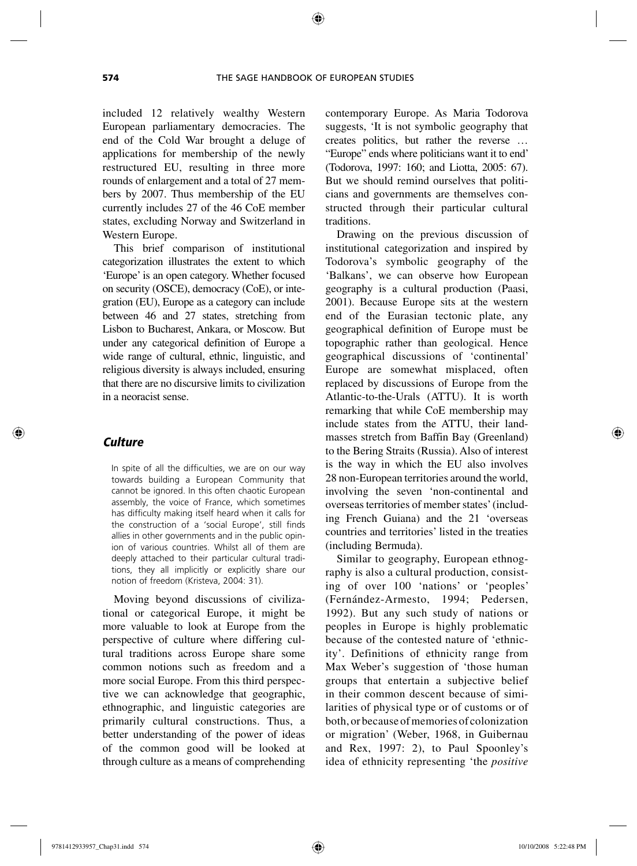included 12 relatively wealthy Western European parliamentary democracies. The end of the Cold War brought a deluge of applications for membership of the newly restructured EU, resulting in three more rounds of enlargement and a total of 27 members by 2007. Thus membership of the EU currently includes 27 of the 46 CoE member states, excluding Norway and Switzerland in Western Europe.

This brief comparison of institutional categorization illustrates the extent to which 'Europe' is an open category. Whether focused on security (OSCE), democracy (CoE), or integration (EU), Europe as a category can include between 46 and 27 states, stretching from Lisbon to Bucharest, Ankara, or Moscow. But under any categorical definition of Europe a wide range of cultural, ethnic, linguistic, and religious diversity is always included, ensuring that there are no discursive limits to civilization in a neoracist sense.

#### *Culture*

In spite of all the difficulties, we are on our way towards building a European Community that cannot be ignored. In this often chaotic European assembly, the voice of France, which sometimes has difficulty making itself heard when it calls for the construction of a 'social Europe', still finds allies in other governments and in the public opinion of various countries. Whilst all of them are deeply attached to their particular cultural traditions, they all implicitly or explicitly share our notion of freedom (Kristeva, 2004: 31).

Moving beyond discussions of civilizational or categorical Europe, it might be more valuable to look at Europe from the perspective of culture where differing cultural traditions across Europe share some common notions such as freedom and a more social Europe. From this third perspective we can acknowledge that geographic, ethnographic, and linguistic categories are primarily cultural constructions. Thus, a better understanding of the power of ideas of the common good will be looked at through culture as a means of comprehending contemporary Europe. As Maria Todorova suggests, 'It is not symbolic geography that creates politics, but rather the reverse … "Europe" ends where politicians want it to end' (Todorova, 1997: 160; and Liotta, 2005: 67). But we should remind ourselves that politicians and governments are themselves constructed through their particular cultural traditions.

Drawing on the previous discussion of institutional categorization and inspired by Todorova's symbolic geography of the 'Balkans', we can observe how European geography is a cultural production (Paasi, 2001). Because Europe sits at the western end of the Eurasian tectonic plate, any geographical definition of Europe must be topographic rather than geological. Hence geographical discussions of 'continental' Europe are somewhat misplaced, often replaced by discussions of Europe from the Atlantic-to-the-Urals (ATTU). It is worth remarking that while CoE membership may include states from the ATTU, their landmasses stretch from Baffin Bay (Greenland) to the Bering Straits (Russia). Also of interest is the way in which the EU also involves 28 non-European territories around the world, involving the seven 'non-continental and overseas territories of member states' (including French Guiana) and the 21 'overseas countries and territories' listed in the treaties (including Bermuda).

Similar to geography, European ethnography is also a cultural production, consisting of over 100 'nations' or 'peoples' (Fernández-Armesto, 1994; Pedersen, 1992). But any such study of nations or peoples in Europe is highly problematic because of the contested nature of 'ethnicity'. Definitions of ethnicity range from Max Weber's suggestion of 'those human groups that entertain a subjective belief in their common descent because of similarities of physical type or of customs or of both, or because of memories of colonization or migration' (Weber, 1968, in Guibernau and Rex, 1997: 2), to Paul Spoonley's idea of ethnicity representing 'the *positive*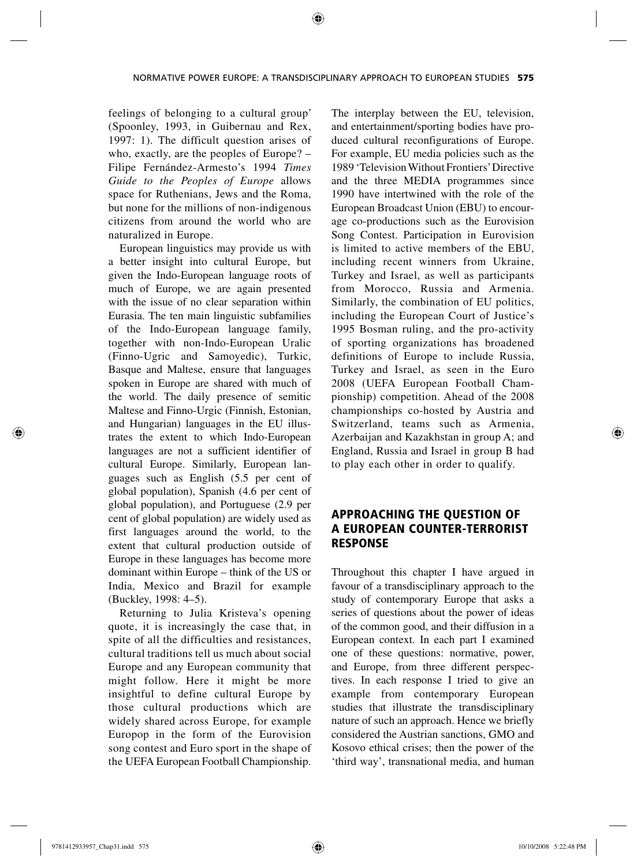feelings of belonging to a cultural group' (Spoonley, 1993, in Guibernau and Rex, 1997: 1). The difficult question arises of who, exactly, are the peoples of Europe? – Filipe Fernández-Armesto's 1994 *Times Guide to the Peoples of Europe* allows space for Ruthenians, Jews and the Roma, but none for the millions of non-indigenous citizens from around the world who are naturalized in Europe.

European linguistics may provide us with a better insight into cultural Europe, but given the Indo-European language roots of much of Europe, we are again presented with the issue of no clear separation within Eurasia. The ten main linguistic subfamilies of the Indo-European language family, together with non-Indo-European Uralic (Finno-Ugric and Samoyedic), Turkic, Basque and Maltese, ensure that languages spoken in Europe are shared with much of the world. The daily presence of semitic Maltese and Finno-Urgic (Finnish, Estonian, and Hungarian) languages in the EU illustrates the extent to which Indo-European languages are not a sufficient identifier of cultural Europe. Similarly, European languages such as English (5.5 per cent of global population), Spanish (4.6 per cent of global population), and Portuguese (2.9 per cent of global population) are widely used as first languages around the world, to the extent that cultural production outside of Europe in these languages has become more dominant within Europe – think of the US or India, Mexico and Brazil for example (Buckley, 1998: 4–5).

Returning to Julia Kristeva's opening quote, it is increasingly the case that, in spite of all the difficulties and resistances, cultural traditions tell us much about social Europe and any European community that might follow. Here it might be more insightful to define cultural Europe by those cultural productions which are widely shared across Europe, for example Europop in the form of the Eurovision song contest and Euro sport in the shape of the UEFA European Football Championship. The interplay between the EU, television, and entertainment/sporting bodies have produced cultural reconfigurations of Europe. For example, EU media policies such as the 1989 'Television Without Frontiers' Directive and the three MEDIA programmes since 1990 have intertwined with the role of the European Broadcast Union (EBU) to encourage co-productions such as the Eurovision Song Contest. Participation in Eurovision is limited to active members of the EBU, including recent winners from Ukraine, Turkey and Israel, as well as participants from Morocco, Russia and Armenia. Similarly, the combination of EU politics, including the European Court of Justice's 1995 Bosman ruling, and the pro-activity of sporting organizations has broadened definitions of Europe to include Russia, Turkey and Israel, as seen in the Euro 2008 (UEFA European Football Championship) competition. Ahead of the 2008 championships co-hosted by Austria and Switzerland, teams such as Armenia, Azerbaijan and Kazakhstan in group A; and England, Russia and Israel in group B had to play each other in order to qualify.

# APPROACHING THE QUESTION OF A EUROPEAN COUNTER-TERRORIST RESPONSE

Throughout this chapter I have argued in favour of a transdisciplinary approach to the study of contemporary Europe that asks a series of questions about the power of ideas of the common good, and their diffusion in a European context. In each part I examined one of these questions: normative, power, and Europe, from three different perspectives. In each response I tried to give an example from contemporary European studies that illustrate the transdisciplinary nature of such an approach. Hence we briefly considered the Austrian sanctions, GMO and Kosovo ethical crises; then the power of the 'third way', transnational media, and human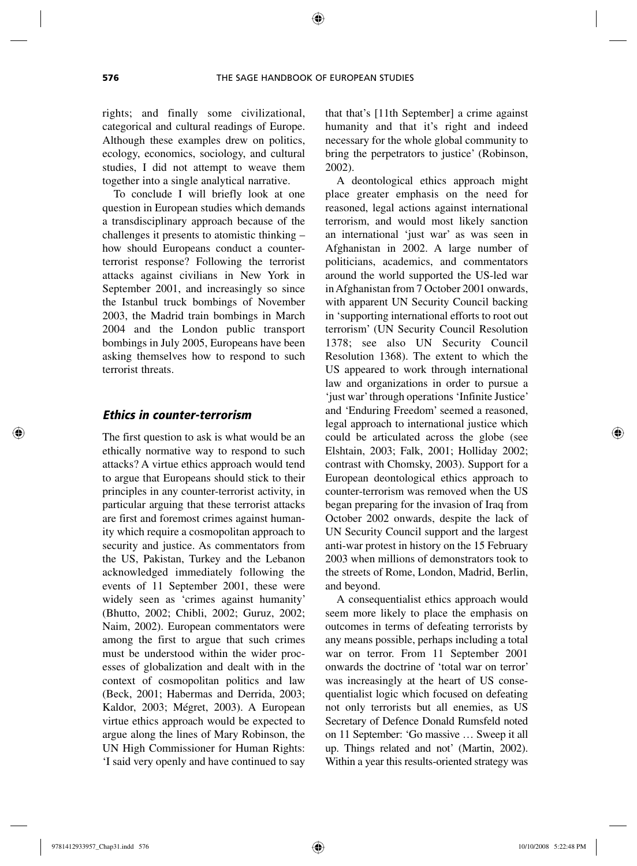rights; and finally some civilizational, categorical and cultural readings of Europe. Although these examples drew on politics, ecology, economics, sociology, and cultural studies, I did not attempt to weave them together into a single analytical narrative.

To conclude I will briefly look at one question in European studies which demands a transdisciplinary approach because of the challenges it presents to atomistic thinking – how should Europeans conduct a counterterrorist response? Following the terrorist attacks against civilians in New York in September 2001, and increasingly so since the Istanbul truck bombings of November 2003, the Madrid train bombings in March 2004 and the London public transport bombings in July 2005, Europeans have been asking themselves how to respond to such terrorist threats.

#### *Ethics in counter-terrorism*

The first question to ask is what would be an ethically normative way to respond to such attacks? A virtue ethics approach would tend to argue that Europeans should stick to their principles in any counter-terrorist activity, in particular arguing that these terrorist attacks are first and foremost crimes against humanity which require a cosmopolitan approach to security and justice. As commentators from the US, Pakistan, Turkey and the Lebanon acknowledged immediately following the events of 11 September 2001, these were widely seen as 'crimes against humanity' (Bhutto, 2002; Chibli, 2002; Guruz, 2002; Naim, 2002). European commentators were among the first to argue that such crimes must be understood within the wider processes of globalization and dealt with in the context of cosmopolitan politics and law (Beck, 2001; Habermas and Derrida, 2003; Kaldor, 2003; Mégret, 2003). A European virtue ethics approach would be expected to argue along the lines of Mary Robinson, the UN High Commissioner for Human Rights: 'I said very openly and have continued to say

that that's [11th September] a crime against humanity and that it's right and indeed necessary for the whole global community to bring the perpetrators to justice' (Robinson, 2002).

A deontological ethics approach might place greater emphasis on the need for reasoned, legal actions against international terrorism, and would most likely sanction an international 'just war' as was seen in Afghanistan in 2002. A large number of politicians, academics, and commentators around the world supported the US-led war in Afghanistan from 7 October 2001 onwards, with apparent UN Security Council backing in 'supporting international efforts to root out terrorism' (UN Security Council Resolution 1378; see also UN Security Council Resolution 1368). The extent to which the US appeared to work through international law and organizations in order to pursue a 'just war' through operations 'Infinite Justice' and 'Enduring Freedom' seemed a reasoned, legal approach to international justice which could be articulated across the globe (see Elshtain, 2003; Falk, 2001; Holliday 2002; contrast with Chomsky, 2003). Support for a European deontological ethics approach to counter-terrorism was removed when the US began preparing for the invasion of Iraq from October 2002 onwards, despite the lack of UN Security Council support and the largest anti-war protest in history on the 15 February 2003 when millions of demonstrators took to the streets of Rome, London, Madrid, Berlin, and beyond.

A consequentialist ethics approach would seem more likely to place the emphasis on outcomes in terms of defeating terrorists by any means possible, perhaps including a total war on terror. From 11 September 2001 onwards the doctrine of 'total war on terror' was increasingly at the heart of US consequentialist logic which focused on defeating not only terrorists but all enemies, as US Secretary of Defence Donald Rumsfeld noted on 11 September: 'Go massive … Sweep it all up. Things related and not' (Martin, 2002). Within a year this results-oriented strategy was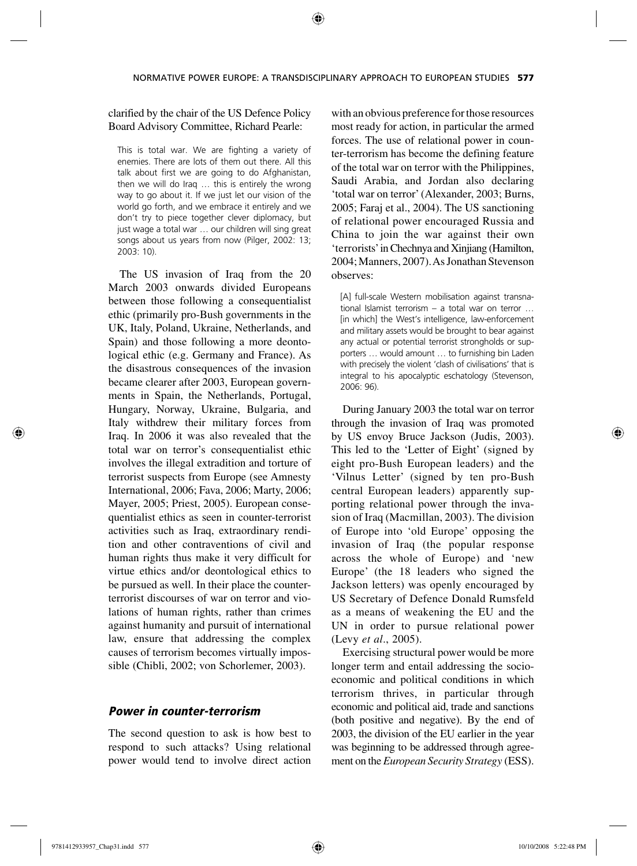#### clarified by the chair of the US Defence Policy Board Advisory Committee, Richard Pearle:

This is total war. We are fighting a variety of enemies. There are lots of them out there. All this talk about first we are going to do Afghanistan, then we will do Iraq … this is entirely the wrong way to go about it. If we just let our vision of the world go forth, and we embrace it entirely and we don't try to piece together clever diplomacy, but just wage a total war … our children will sing great songs about us years from now (Pilger, 2002: 13; 2003: 10).

The US invasion of Iraq from the 20 March 2003 onwards divided Europeans between those following a consequentialist ethic (primarily pro-Bush governments in the UK, Italy, Poland, Ukraine, Netherlands, and Spain) and those following a more deontological ethic (e.g. Germany and France). As the disastrous consequences of the invasion became clearer after 2003, European governments in Spain, the Netherlands, Portugal, Hungary, Norway, Ukraine, Bulgaria, and Italy withdrew their military forces from Iraq. In 2006 it was also revealed that the total war on terror's consequentialist ethic involves the illegal extradition and torture of terrorist suspects from Europe (see Amnesty International, 2006; Fava, 2006; Marty, 2006; Mayer, 2005; Priest, 2005). European consequentialist ethics as seen in counter-terrorist activities such as Iraq, extraordinary rendition and other contraventions of civil and human rights thus make it very difficult for virtue ethics and/or deontological ethics to be pursued as well. In their place the counterterrorist discourses of war on terror and violations of human rights, rather than crimes against humanity and pursuit of international law, ensure that addressing the complex causes of terrorism becomes virtually impossible (Chibli, 2002; von Schorlemer, 2003).

# *Power in counter-terrorism*

The second question to ask is how best to respond to such attacks? Using relational power would tend to involve direct action with an obvious preference for those resources most ready for action, in particular the armed forces. The use of relational power in counter-terrorism has become the defining feature of the total war on terror with the Philippines, Saudi Arabia, and Jordan also declaring 'total war on terror' (Alexander, 2003; Burns, 2005; Faraj et al., 2004). The US sanctioning of relational power encouraged Russia and China to join the war against their own 'terrorists' in Chechnya and Xinjiang (Hamilton, 2004; Manners, 2007). As Jonathan Stevenson observes:

[A] full-scale Western mobilisation against transnational Islamist terrorism – a total war on terror … [in which] the West's intelligence, law-enforcement and military assets would be brought to bear against any actual or potential terrorist strongholds or supporters … would amount … to furnishing bin Laden with precisely the violent 'clash of civilisations' that is integral to his apocalyptic eschatology (Stevenson, 2006: 96).

During January 2003 the total war on terror through the invasion of Iraq was promoted by US envoy Bruce Jackson (Judis, 2003). This led to the 'Letter of Eight' (signed by eight pro-Bush European leaders) and the 'Vilnus Letter' (signed by ten pro-Bush central European leaders) apparently supporting relational power through the invasion of Iraq (Macmillan, 2003). The division of Europe into 'old Europe' opposing the invasion of Iraq (the popular response across the whole of Europe) and 'new Europe' (the 18 leaders who signed the Jackson letters) was openly encouraged by US Secretary of Defence Donald Rumsfeld as a means of weakening the EU and the UN in order to pursue relational power (Levy *et al*., 2005).

Exercising structural power would be more longer term and entail addressing the socioeconomic and political conditions in which terrorism thrives, in particular through economic and political aid, trade and sanctions (both positive and negative). By the end of 2003, the division of the EU earlier in the year was beginning to be addressed through agreement on the *European Security Strategy* (ESS).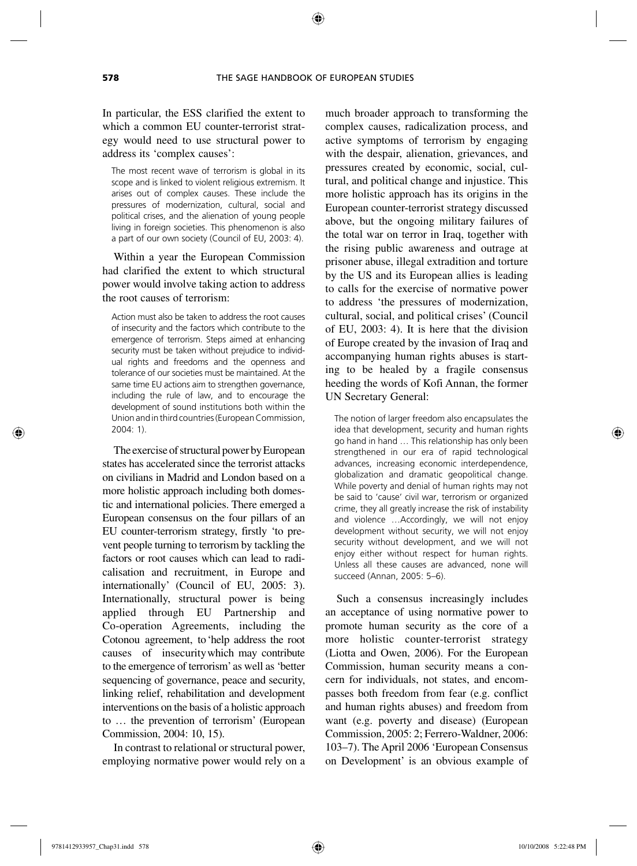↔

In particular, the ESS clarified the extent to which a common EU counter-terrorist strategy would need to use structural power to address its 'complex causes':

The most recent wave of terrorism is global in its scope and is linked to violent religious extremism. It arises out of complex causes. These include the pressures of modernization, cultural, social and political crises, and the alienation of young people living in foreign societies. This phenomenon is also a part of our own society (Council of EU, 2003: 4).

Within a year the European Commission had clarified the extent to which structural power would involve taking action to address the root causes of terrorism:

Action must also be taken to address the root causes of insecurity and the factors which contribute to the emergence of terrorism. Steps aimed at enhancing security must be taken without prejudice to individual rights and freedoms and the openness and tolerance of our societies must be maintained. At the same time EU actions aim to strengthen governance, including the rule of law, and to encourage the development of sound institutions both within the Union and in third countries (European Commission, 2004: 1).

The exercise of structural power by European states has accelerated since the terrorist attacks on civilians in Madrid and London based on a more holistic approach including both domestic and international policies. There emerged a European consensus on the four pillars of an EU counter- terrorism strategy, firstly 'to prevent people turning to terrorism by tackling the factors or root causes which can lead to radicalisation and recruitment, in Europe and internationally' (Council of EU, 2005: 3). Internationally, structural power is being applied through EU Partnership and Co-operation Agreements, including the Cotonou agreement, to 'help address the root causes of insecurity which may contribute to the emergence of terrorism' as well as 'better sequencing of governance, peace and security, linking relief, rehabilitation and development interventions on the basis of a holistic approach to … the prevention of terrorism' (European Commission, 2004: 10, 15).

In contrast to relational or structural power, employing normative power would rely on a much broader approach to transforming the complex causes, radicalization process, and active symptoms of terrorism by engaging with the despair, alienation, grievances, and pressures created by economic, social, cultural, and political change and injustice. This more holistic approach has its origins in the European counter-terrorist strategy discussed above, but the ongoing military failures of the total war on terror in Iraq, together with the rising public awareness and outrage at prisoner abuse, illegal extradition and torture by the US and its European allies is leading to calls for the exercise of normative power to address 'the pressures of modernization, cultural, social, and political crises' (Council of EU, 2003: 4). It is here that the division of Europe created by the invasion of Iraq and accompanying human rights abuses is starting to be healed by a fragile consensus heeding the words of Kofi Annan, the former UN Secretary General:

The notion of larger freedom also encapsulates the idea that development, security and human rights go hand in hand … This relationship has only been strengthened in our era of rapid technological advances, increasing economic interdependence, globalization and dramatic geopolitical change. While poverty and denial of human rights may not be said to 'cause' civil war, terrorism or organized crime, they all greatly increase the risk of instability and violence …Accordingly, we will not enjoy development without security, we will not enjoy security without development, and we will not enjoy either without respect for human rights. Unless all these causes are advanced, none will succeed (Annan, 2005: 5–6).

Such a consensus increasingly includes an acceptance of using normative power to promote human security as the core of a more holistic counter-terrorist strategy (Liotta and Owen, 2006). For the European Commission, human security means a concern for individuals, not states, and encompasses both freedom from fear (e.g. conflict and human rights abuses) and freedom from want (e.g. poverty and disease) (European Commission, 2005: 2; Ferrero-Waldner, 2006: 103–7). The April 2006 'European Consensus on Development' is an obvious example of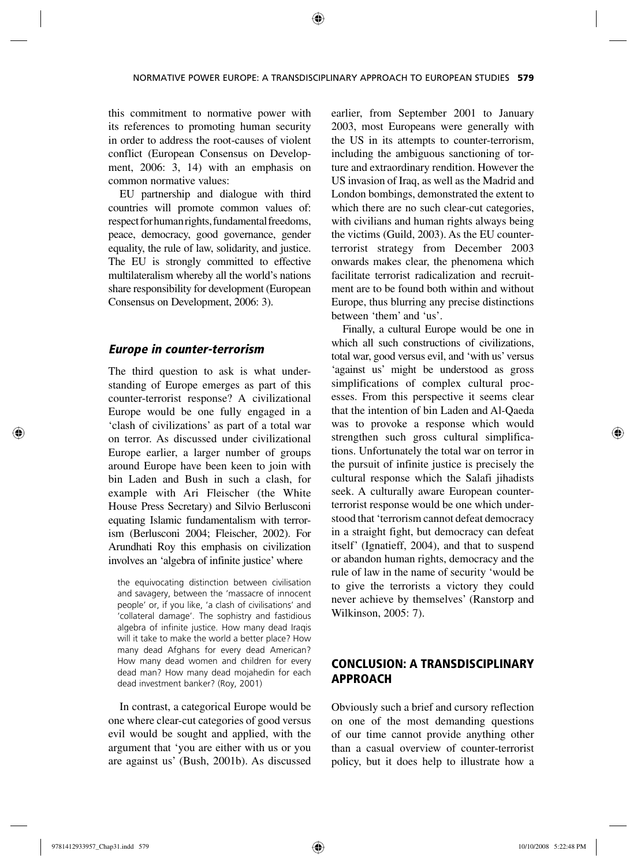this commitment to normative power with its references to promoting human security in order to address the root-causes of violent conflict (European Consensus on Development, 2006: 3, 14) with an emphasis on common normative values:

EU partnership and dialogue with third countries will promote common values of: respect for human rights, fundamental freedoms, peace, democracy, good governance, gender equality, the rule of law, solidarity, and justice. The EU is strongly committed to effective multilateralism whereby all the world's nations share responsibility for development (European Consensus on Development, 2006: 3).

#### *Europe in counter-terrorism*

The third question to ask is what understanding of Europe emerges as part of this counter-terrorist response? A civilizational Europe would be one fully engaged in a 'clash of civilizations' as part of a total war on terror. As discussed under civilizational Europe earlier, a larger number of groups around Europe have been keen to join with bin Laden and Bush in such a clash, for example with Ari Fleischer (the White House Press Secretary) and Silvio Berlusconi equating Islamic fundamentalism with terrorism (Berlusconi 2004; Fleischer, 2002). For Arundhati Roy this emphasis on civilization involves an 'algebra of infinite justice' where

the equivocating distinction between civilisation and savagery, between the 'massacre of innocent people' or, if you like, 'a clash of civilisations' and 'collateral damage'. The sophistry and fastidious algebra of infinite justice. How many dead Iraqis will it take to make the world a better place? How many dead Afghans for every dead American? How many dead women and children for every dead man? How many dead mojahedin for each dead investment banker? (Roy, 2001)

In contrast, a categorical Europe would be one where clear-cut categories of good versus evil would be sought and applied, with the argument that 'you are either with us or you are against us' (Bush, 2001b). As discussed earlier, from September 2001 to January 2003, most Europeans were generally with the US in its attempts to counter-terrorism, including the ambiguous sanctioning of torture and extraordinary rendition. However the US invasion of Iraq, as well as the Madrid and London bombings, demonstrated the extent to which there are no such clear-cut categories, with civilians and human rights always being the victims (Guild, 2003). As the EU counterterrorist strategy from December 2003 onwards makes clear, the phenomena which facilitate terrorist radicalization and recruitment are to be found both within and without Europe, thus blurring any precise distinctions between 'them' and 'us'.

Finally, a cultural Europe would be one in which all such constructions of civilizations, total war, good versus evil, and 'with us' versus 'against us' might be understood as gross simplifications of complex cultural processes. From this perspective it seems clear that the intention of bin Laden and Al-Qaeda was to provoke a response which would strengthen such gross cultural simplifications. Unfortunately the total war on terror in the pursuit of infinite justice is precisely the cultural response which the Salafi jihadists seek. A culturally aware European counterterrorist response would be one which understood that 'terrorism cannot defeat democracy in a straight fight, but democracy can defeat itself' (Ignatieff, 2004), and that to suspend or abandon human rights, democracy and the rule of law in the name of security 'would be to give the terrorists a victory they could never achieve by themselves' (Ranstorp and Wilkinson, 2005: 7).

# CONCLUSION: A TRANSDISCIPLINARY APPROACH

Obviously such a brief and cursory reflection on one of the most demanding questions of our time cannot provide anything other than a casual overview of counter-terrorist policy, but it does help to illustrate how a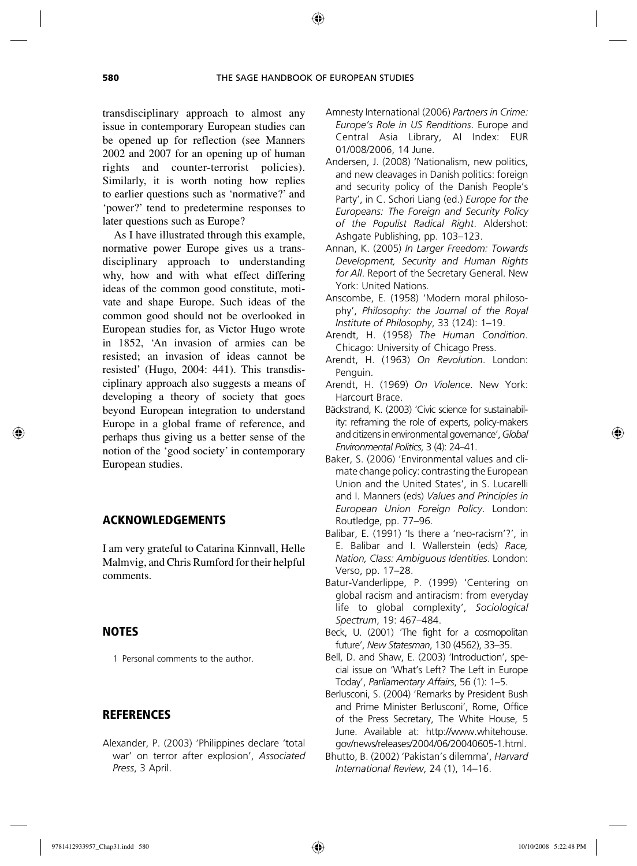↔

trans disciplinary approach to almost any issue in contemporary European studies can be opened up for reflection (see Manners 2002 and 2007 for an opening up of human rights and counter-terrorist policies). Similarly, it is worth noting how replies to earlier questions such as 'normative?' and 'power?' tend to predetermine responses to later questions such as Europe?

As I have illustrated through this example, normative power Europe gives us a transdisciplinary approach to understanding why, how and with what effect differing ideas of the common good constitute, motivate and shape Europe. Such ideas of the common good should not be overlooked in European studies for, as Victor Hugo wrote in 1852, 'An invasion of armies can be resisted; an invasion of ideas cannot be resisted' (Hugo, 2004: 441). This transdisciplinary approach also suggests a means of developing a theory of society that goes beyond European integration to understand Europe in a global frame of reference, and perhaps thus giving us a better sense of the notion of the 'good society' in contemporary European studies.

#### ACKNOWLEDGEMENTS

I am very grateful to Catarina Kinnvall, Helle Malmvig, and Chris Rumford for their helpful comments.

#### NOTES

1 Personal comments to the author.

# **REFERENCES**

Alexander, P. (2003) 'Philippines declare 'total war' on terror after explosion', *Associated Press*, 3 April.

- Amnesty International (2006) *Partners in Crime: Europe's Role in US Renditions*. Europe and Central Asia Library, AI Index: EUR 01/008/2006, 14 June.
- Andersen, J. (2008) 'Nationalism, new politics, and new cleavages in Danish politics: foreign and security policy of the Danish People's Party', in C. Schori Liang (ed.) *Europe for the Europeans: The Foreign and Security Policy of the Populist Radical Right*. Aldershot: Ashgate Publishing, pp. 103–123.
- Annan, K. (2005) *In Larger Freedom: Towards Development, Security and Human Rights for All*. Report of the Secretary General. New York: United Nations.
- Anscombe, E. (1958) 'Modern moral philosophy', *Philosophy: the Journal of the Royal Institute of Philosophy*, 33 (124): 1–19.
- Arendt, H. (1958) *The Human Condition*. Chicago: University of Chicago Press.
- Arendt, H. (1963) *On Revolution*. London: Penguin.
- Arendt, H. (1969) *On Violence*. New York: Harcourt Brace.
- Bäckstrand, K. (2003) 'Civic science for sustainability: reframing the role of experts, policy-makers and citizens in environmental governance', *Global Environmental Politics*, 3 (4): 24–41.
- Baker, S. (2006) 'Environmental values and climate change policy: contrasting the European Union and the United States', in S. Lucarelli and I. Manners (eds) *Values and Principles in European Union Foreign Policy*. London: Routledge, pp. 77–96.
- Balibar, E. (1991) 'Is there a 'neo-racism'?', in E. Balibar and I. Wallerstein (eds) *Race, Nation, Class: Ambiguous Identities*. London: Verso, pp. 17–28.
- Batur-Vanderlippe, P. (1999) 'Centering on global racism and antiracism: from everyday life to global complexity', *Sociological Spectrum*, 19: 467–484.
- Beck, U. (2001) 'The fight for a cosmopolitan future', *New Statesman*, 130 (4562), 33–35.
- Bell, D. and Shaw, E. (2003) 'Introduction', special issue on 'What's Left? The Left in Europe Today', *Parliamentary Affairs*, 56 (1): 1–5.
- Berlusconi, S. (2004) 'Remarks by President Bush and Prime Minister Berlusconi', Rome, Office of the Press Secretary, The White House, 5 June. Available at: http://www.whitehouse. gov/news/releases/2004/06/20040605-1.html.
- Bhutto, B. (2002) 'Pakistan's dilemma', *Harvard International Review*, 24 (1), 14–16.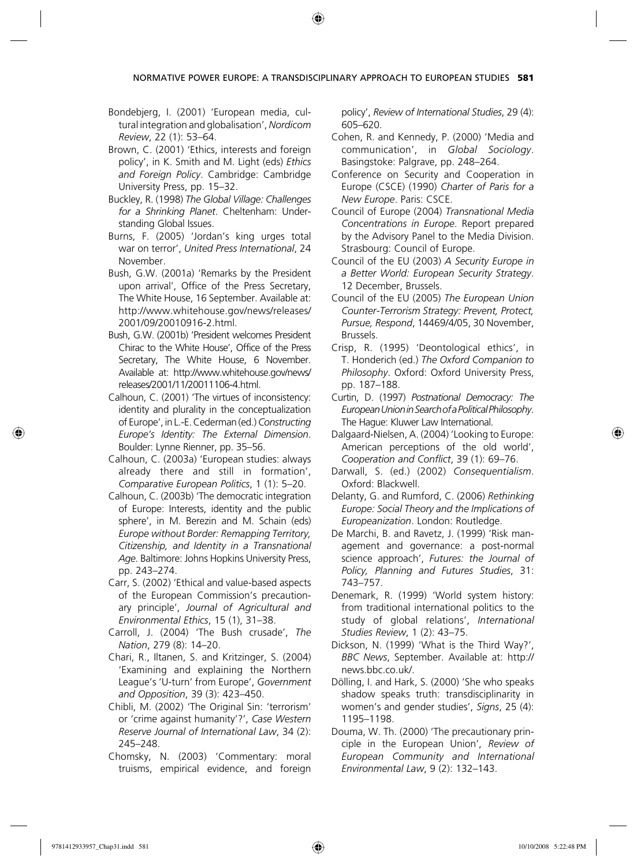NORMATIVE POWER EUROPE: A TRANSDISCIPLINARY APPROACH TO EUROPEAN STUDIES **581**

⊕

- Bondebjerg, I. (2001) 'European media, cultural integration and globalisation', *Nordicom Review*, 22 (1): 53–64.
- Brown, C. (2001) 'Ethics, interests and foreign policy', in K. Smith and M. Light (eds) *Ethics and Foreign Policy*. Cambridge: Cambridge University Press, pp. 15–32.
- Buckley, R. (1998) *The Global Village: Challenges for a Shrinking Planet*. Cheltenham: Understanding Global Issues.
- Burns, F. (2005) 'Jordan's king urges total war on terror', *United Press International*, 24 November.
- Bush, G.W. (2001a) 'Remarks by the President upon arrival', Office of the Press Secretary, The White House, 16 September. Available at: http://www.whitehouse.gov/news/releases/ 2001/09/20010916-2.html.
- Bush, G.W. (2001b) 'President welcomes President Chirac to the White House', Office of the Press Secretary, The White House, 6 November. Available at: http://www.whitehouse.gov/news/ releases/2001/11/20011106-4.html.
- Calhoun, C. (2001) 'The virtues of inconsistency: identity and plurality in the conceptualization of Europe', in L.-E. Cederman (ed.) *Constructing Europe's Identity: The External Dimension*. Boulder: Lynne Rienner, pp. 35–56.
- Calhoun, C. (2003a) 'European studies: always already there and still in formation', *Comparative European Politics*, 1 (1): 5–20.
- Calhoun, C. (2003b) 'The democratic integration of Europe: Interests, identity and the public sphere', in M. Berezin and M. Schain (eds) *Europe without Border: Remapping Territory, Citizenship, and Identity in a Transnational Age*. Baltimore: Johns Hopkins University Press, pp. 243–274.
- Carr, S. (2002) 'Ethical and value-based aspects of the European Commission's precautionary principle', *Journal of Agricultural and Environmental Ethics*, 15 (1), 31–38.
- Carroll, J. (2004) 'The Bush crusade', *The Nation*, 279 (8): 14–20.
- Chari, R., Iltanen, S. and Kritzinger, S. (2004) 'Examining and explaining the Northern League's 'U-turn' from Europe', *Government and Opposition*, 39 (3): 423–450.
- Chibli, M. (2002) 'The Original Sin: 'terrorism' or 'crime against humanity'?', *Case Western Reserve Journal of International Law*, 34 (2): 245–248.
- Chomsky, N. (2003) 'Commentary: moral truisms, empirical evidence, and foreign

policy', *Review of International Studies*, 29 (4): 605–620.

- Cohen, R. and Kennedy, P. (2000) 'Media and communication', in *Global Sociology*. Basingstoke: Palgrave, pp. 248–264.
- Conference on Security and Cooperation in Europe (CSCE) (1990) *Charter of Paris for a New Europe*. Paris: CSCE.
- Council of Europe (2004) *Transnational Media Concentrations in Europe*. Report prepared by the Advisory Panel to the Media Division. Strasbourg: Council of Europe.
- Council of the EU (2003) *A Security Europe in a Better World: European Security Strategy*. 12 December, Brussels.
- Council of the EU (2005) *The European Union Counter-Terrorism Strategy: Prevent, Protect, Pursue, Respond*, 14469/4/05, 30 November, Brussels.
- Crisp, R. (1995) 'Deontological ethics', in T. Honderich (ed.) *The Oxford Companion to Philosophy*. Oxford: Oxford University Press, pp. 187–188.
- Curtin, D. (1997) *Postnational Democracy: The European Union in Search of a Political Philosophy*. The Hague: Kluwer Law International.
- Dalgaard-Nielsen, A. (2004) 'Looking to Europe: American perceptions of the old world', *Cooperation and Conflict*, 39 (1): 69–76.
- Darwall, S. (ed.) (2002) *Consequentialism*. Oxford: Blackwell.
- Delanty, G. and Rumford, C. (2006) *Rethinking Europe: Social Theory and the Implications of Europeanization*. London: Routledge.
- De Marchi, B. and Ravetz, J. (1999) 'Risk management and governance: a post-normal science approach', *Futures: the Journal of Policy, Planning and Futures Studies*, 31: 743–757.
- Denemark, R. (1999) 'World system history: from traditional international politics to the study of global relations', *International Studies Review*, 1 (2): 43–75.
- Dickson, N. (1999) 'What is the Third Way?', *BBC News*, September. Available at: http:// news.bbc.co.uk/.
- Dölling, I. and Hark, S. (2000) 'She who speaks shadow speaks truth: transdisciplinarity in women's and gender studies', *Signs*, 25 (4): 1195–1198.
- Douma, W. Th. (2000) 'The precautionary principle in the European Union', *Review of European Community and International Environmental Law*, 9 (2): 132–143.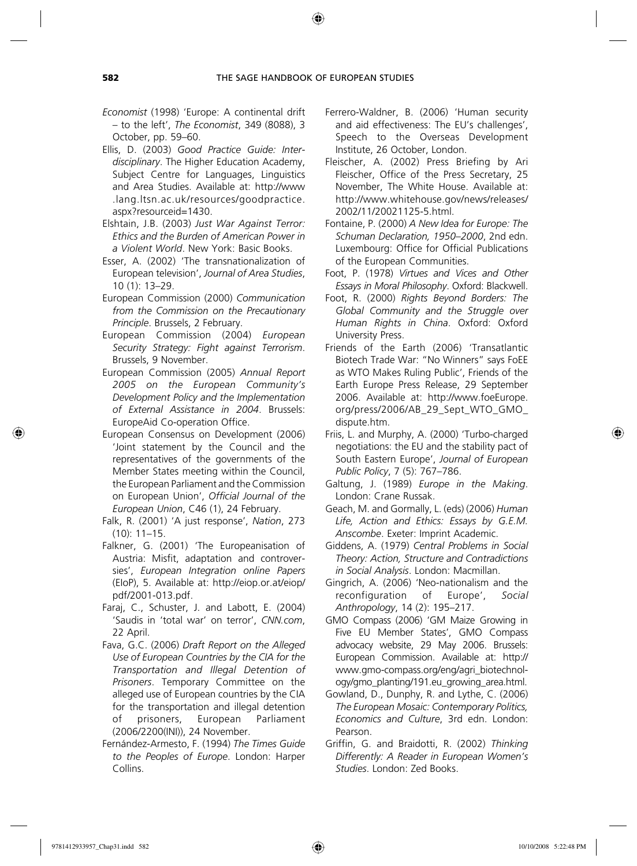- *Economist* (1998) 'Europe: A continental drift – to the left', *The Economist*, 349 (8088), 3 October, pp. 59–60.
- Ellis, D. (2003) *Good Practice Guide: Interdisciplinary*. The Higher Education Academy, Subject Centre for Languages, Linguistics and Area Studies. Available at: http://www .lang.ltsn.ac.uk/resources/goodpractice. aspx?resourceid=1430.
- Elshtain, J.B. (2003) *Just War Against Terror: Ethics and the Burden of American Power in a Violent World*. New York: Basic Books.
- Esser, A. (2002) 'The transnationalization of European television', *Journal of Area Studies*, 10 (1): 13–29.
- European Commission (2000) *Communication from the Commission on the Precautionary Principle*. Brussels, 2 February.
- European Commission (2004) *European Security Strategy: Fight against Terrorism*. Brussels, 9 November.
- European Commission (2005) *Annual Report 2005 on the European Community's Development Policy and the Implementation of External Assistance in 2004*. Brussels: EuropeAid Co-operation Office.
- European Consensus on Development (2006) 'Joint statement by the Council and the representatives of the governments of the Member States meeting within the Council, the European Parliament and the Commission on European Union', *Official Journal of the European Union*, C46 (1), 24 February.
- Falk, R. (2001) 'A just response', *Nation*, 273 (10): 11–15.
- Falkner, G. (2001) 'The Europeanisation of Austria: Misfit, adaptation and controversies', *European Integration online Papers* (EIoP), 5. Available at: http://eiop.or.at/eiop/ pdf/2001-013.pdf.
- Faraj, C., Schuster, J. and Labott, E. (2004) 'Saudis in 'total war' on terror', *CNN.com*, 22 April.
- Fava, G.C. (2006) *Draft Report on the Alleged Use of European Countries by the CIA for the Transportation and Illegal Detention of Prisoners*. Temporary Committee on the alleged use of European countries by the CIA for the transportation and illegal detention of prisoners, European Parliament (2006/2200(INI)), 24 November.
- Fernández-Armesto, F. (1994) *The Times Guide to the Peoples of Europe*. London: Harper Collins.
- Ferrero-Waldner, B. (2006) 'Human security and aid effectiveness: The EU's challenges', Speech to the Overseas Development Institute, 26 October, London.
- Fleischer, A. (2002) Press Briefing by Ari Fleischer, Office of the Press Secretary, 25 November, The White House. Available at: http://www.whitehouse.gov/news/releases/ 2002/11/20021125-5.html.
- Fontaine, P. (2000) *A New Idea for Europe: The Schuman Declaration, 1950–2000*, 2nd edn. Luxembourg: Office for Official Publications of the European Communities.
- Foot, P. (1978) *Virtues and Vices and Other Essays in Moral Philosophy*. Oxford: Blackwell.
- Foot, R. (2000) *Rights Beyond Borders: The Global Community and the Struggle over Human Rights in China*. Oxford: Oxford University Press.
- Friends of the Earth (2006) 'Transatlantic Biotech Trade War: "No Winners" says FoEE as WTO Makes Ruling Public', Friends of the Earth Europe Press Release, 29 September 2006. Available at: http://www.foeEurope. org/press/2006/AB\_29\_Sept\_WTO\_GMO\_ dispute.htm.
- Friis, L. and Murphy, A. (2000) 'Turbo-charged negotiations: the EU and the stability pact of South Eastern Europe', *Journal of European Public Policy*, 7 (5): 767–786.
- Galtung, J. (1989) *Europe in the Making*. London: Crane Russak.
- Geach, M. and Gormally, L. (eds) (2006) *Human Life, Action and Ethics: Essays by G.E.M. Anscombe*. Exeter: Imprint Academic.
- Giddens, A. (1979) *Central Problems in Social Theory: Action, Structure and Contradictions in Social Analysis*. London: Macmillan.
- Gingrich, A. (2006) 'Neo-nationalism and the reconfiguration of Europe', *Social Anthropology*, 14 (2): 195–217.
- GMO Compass (2006) 'GM Maize Growing in Five EU Member States', GMO Compass advocacy website, 29 May 2006. Brussels: European Commission. Available at: http:// www.gmo-compass.org/eng/agri\_biotechnology/gmo\_planting/191.eu\_growing\_area.html.
- Gowland, D., Dunphy, R. and Lythe, C. (2006) *The European Mosaic: Contemporary Politics, Economics and Culture*, 3rd edn. London: Pearson.
- Griffin, G. and Braidotti, R. (2002) *Thinking Differently: A Reader in European Women's Studies*. London: Zed Books.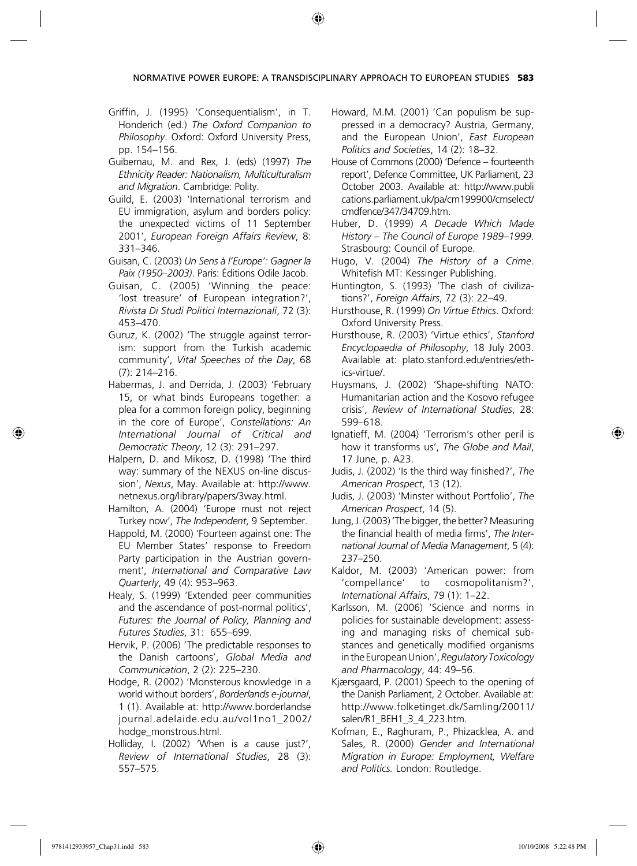NORMATIVE POWER EUROPE: A TRANSDISCIPLINARY APPROACH TO EUROPEAN STUDIES **583**

⊕

- Griffin, J. (1995) 'Consequentialism', in T. Honderich (ed.) *The Oxford Companion to Philosophy*. Oxford: Oxford University Press, pp. 154–156.
- Guibernau, M. and Rex, J. (eds) (1997) *The Ethnicity Reader: Nationalism, Multiculturalism and Migration*. Cambridge: Polity.
- Guild, E. (2003) 'International terrorism and EU immigration, asylum and borders policy: the unexpected victims of 11 September 2001', *European Foreign Affairs Review*, 8: 331–346.
- Guisan, C. (2003) *Un Sens à l'Europe': Gagner la Paix (1950–2003)*. Paris: Éditions Odile Jacob.
- Guisan, C. (2005) 'Winning the peace: 'lost treasure' of European integration?', *Rivista Di Studi Politici Internazionali*, 72 (3): 453–470.
- Guruz, K. (2002) 'The struggle against terrorism: support from the Turkish academic community', *Vital Speeches of the Day*, 68 (7): 214–216.
- Habermas, J. and Derrida, J. (2003) 'February 15, or what binds Europeans together: a plea for a common foreign policy, beginning in the core of Europe', *Constellations: An International Journal of Critical and Democratic Theory*, 12 (3): 291–297.
- Halpern, D. and Mikosz, D. (1998) 'The third way: summary of the NEXUS on-line discussion', *Nexus*, May. Available at: http://www. netnexus.org/library/papers/3way.html.
- Hamilton, A. (2004) 'Europe must not reject Turkey now', *The Independent*, 9 September.
- Happold, M. (2000) 'Fourteen against one: The EU Member States' response to Freedom Party participation in the Austrian government', *International and Comparative Law Quarterly*, 49 (4): 953–963.
- Healy, S. (1999) 'Extended peer communities and the ascendance of post-normal politics', *Futures: the Journal of Policy, Planning and Futures Studies*, 31: 655–699.
- Hervik, P. (2006) 'The predictable responses to the Danish cartoons', *Global Media and Communication*, 2 (2): 225–230.
- Hodge, R. (2002) 'Monsterous knowledge in a world without borders', *Borderlands e-journal*, 1 (1). Available at: http://www.borderlandse journal.adelaide.edu.au/vol1no1\_2002/ hodge\_monstrous.html.
- Holliday, I. (2002) 'When is a cause just?', *Review of International Studies*, 28 (3): 557–575.
- Howard, M.M. (2001) 'Can populism be suppressed in a democracy? Austria, Germany, and the European Union', *East European Politics and Societies*, 14 (2): 18–32.
- House of Commons (2000) 'Defence fourteenth report', Defence Committee, UK Parliament, 23 October 2003. Available at: http://www.publi cations.parliament.uk/pa/cm199900/cmselect/ cmdfence/347/34709.htm.
- Huber, D. (1999) *A Decade Which Made History – The Council of Europe 1989–1999*. Strasbourg: Council of Europe.
- Hugo, V. (2004) *The History of a Crime*. Whitefish MT: Kessinger Publishing.
- Huntington, S. (1993) 'The clash of civilizations?', *Foreign Affairs*, 72 (3): 22–49.
- Hursthouse, R. (1999) *On Virtue Ethics*. Oxford: Oxford University Press.
- Hursthouse, R. (2003) 'Virtue ethics', *Stanford Encyclopaedia of Philosophy*, 18 July 2003. Available at: plato.stanford.edu/entries/ethics-virtue/.
- Huysmans, J. (2002) 'Shape-shifting NATO: Humanitarian action and the Kosovo refugee crisis', *Review of International Studies*, 28: 599–618.
- Ignatieff, M. (2004) 'Terrorism's other peril is how it transforms us', *The Globe and Mail*, 17 June, p. A23.
- Judis, J. (2002) 'Is the third way finished?', *The American Prospect*, 13 (12).
- Judis, J. (2003) 'Minster without Portfolio', *The American Prospect*, 14 (5).
- Jung, J. (2003) 'The bigger, the better? Measuring the financial health of media firms', *The International Journal of Media Management*, 5 (4): 237–250.
- Kaldor, M. (2003) 'American power: from 'compellance' to cosmopolitanism?', *International Affairs*, 79 (1): 1–22.
- Karlsson, M. (2006) 'Science and norms in policies for sustainable development: assessing and managing risks of chemical substances and genetically modified organisms in the European Union', *Regulatory Toxicology and Pharmacology*, 44: 49–56.
- Kjærsgaard, P. (2001) Speech to the opening of the Danish Parliament, 2 October. Available at: http://www.folketinget.dk/Samling/20011/ salen/R1\_BEH1\_3\_4\_223.htm.
- Kofman, E., Raghuram, P., Phizacklea, A. and Sales, R. (2000) *Gender and International Migration in Europe: Employment, Welfare and Politics.* London: Routledge.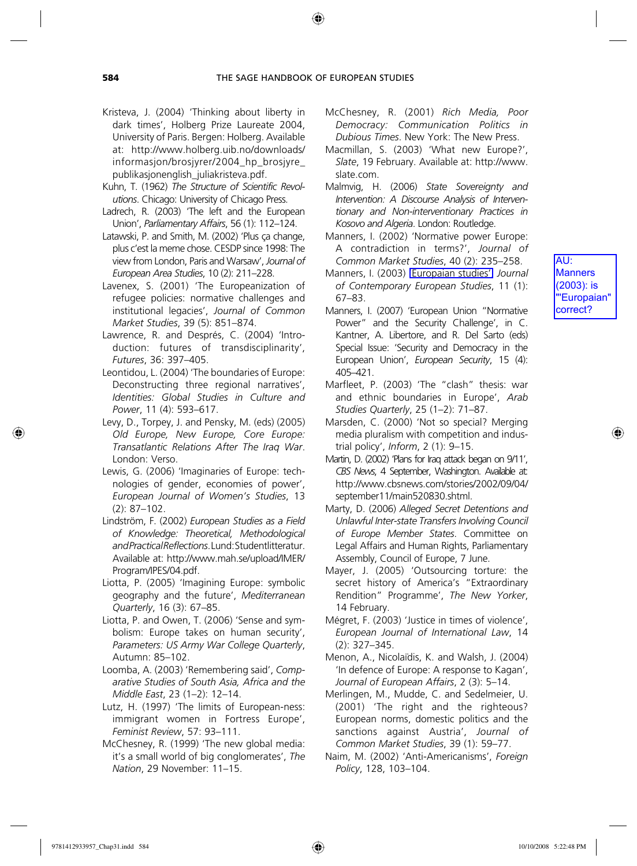- Kristeva, J. (2004) 'Thinking about liberty in dark times', Holberg Prize Laureate 2004, University of Paris. Bergen: Holberg. Available at: http://www.holberg.uib.no/downloads/ informasjon/brosjyrer/2004\_hp\_brosjyre\_ publikasjonenglish\_juliakristeva.pdf.
- Kuhn, T. (1962) *The Structure of Scientific Revolutions*. Chicago: University of Chicago Press.
- Ladrech, R. (2003) 'The left and the European Union', *Parliamentary Affairs*, 56 (1): 112–124.
- Latawski, P. and Smith, M. (2002) 'Plus ça change, plus c'est la meme chose. CESDP since 1998: The view from London, Paris and Warsaw', *Journal of European Area Studies*, 10 (2): 211–228.
- Lavenex, S. (2001) 'The Europeanization of refugee policies: normative challenges and institutional legacies', *Journal of Common Market Studies*, 39 (5): 851–874.
- Lawrence, R. and Després, C. (2004) 'Introduction: futures of transdisciplinarity', *Futures*, 36: 397–405.
- Leontidou, L. (2004) 'The boundaries of Europe: Deconstructing three regional narratives', *Identities: Global Studies in Culture and Power*, 11 (4): 593–617.
- Levy, D., Torpey, J. and Pensky, M. (eds) (2005) *Old Europe, New Europe, Core Europe: Transatlantic Relations After The Iraq War*. London: Verso.
- Lewis, G. (2006) 'Imaginaries of Europe: technologies of gender, economies of power', *European Journal of Women's Studies*, 13 (2): 87–102.
- Lindström, F. (2002) *European Studies as a Field of Knowledge: Theoretical, Methodological and Practical Reflections*. Lund: Studentlitteratur. Available at: http://www.mah.se/upload/IMER/ Program/IPES/04.pdf.
- Liotta, P. (2005) 'Imagining Europe: symbolic geography and the future', *Mediterranean Quarterly*, 16 (3): 67–85.
- Liotta, P. and Owen, T. (2006) 'Sense and symbolism: Europe takes on human security', *Parameters: US Army War College Quarterly*, Autumn: 85–102.
- Loomba, A. (2003) 'Remembering said', *Comparative Studies of South Asia, Africa and the Middle East*, 23 (1–2): 12–14.
- Lutz, H. (1997) 'The limits of European-ness: immigrant women in Fortress Europe', *Feminist Review*, 57: 93–111.
- McChesney, R. (1999) 'The new global media: it's a small world of big conglomerates', *The Nation*, 29 November: 11–15.
- McChesney, R. (2001) *Rich Media, Poor Democracy: Communication Politics in Dubious Times*. New York: The New Press.
- Macmillan, S. (2003) 'What new Europe?', *Slate*, 19 February. Available at: http://www. slate.com.
- Malmvig, H. (2006) *State Sovereignty and Intervention: A Discourse Analysis of Interventionary and Non-interventionary Practices in Kosovo and Algeria*. London: Routledge.
- Manners, I. (2002) 'Normative power Europe: A contradiction in terms?', *Journal of Common Market Studies*, 40 (2): 235–258.
- Manners, I. (2003) **Europaian studies'** Journal *of Contemporary European Studies*, 11 (1): 67–83.
- Manners, I. (2007) 'European Union "Normative Power" and the Security Challenge', in C. Kantner, A. Libertore, and R. Del Sarto (eds) Special Issue: 'Security and Democracy in the European Union', *European Security*, 15 (4): 405–421.
- Marfleet, P. (2003) 'The "clash" thesis: war and ethnic boundaries in Europe', *Arab Studies Quarterly*, 25 (1–2): 71–87.
- Marsden, C. (2000) 'Not so special? Merging media pluralism with competition and industrial policy', *Inform*, 2 (1): 9–15.
- Martin, D. (2002) 'Plans for Iraq attack began on 9/11', *CBS News*, 4 September, Washington. Available at: http://www.cbsnews.com/stories/2002/09/04/ september11/main520830.shtml.
- Marty, D. (2006) *Alleged Secret Detentions and Unlawful Inter-state Transfers Involving Council of Europe Member States*. Committee on Legal Affairs and Human Rights, Parliamentary Assembly, Council of Europe, 7 June.
- Mayer, J. (2005) 'Outsourcing torture: the secret history of America's "Extraordinary Rendition" Programme', *The New Yorker*, 14 February.
- Mégret, F. (2003) 'Justice in times of violence', *European Journal of International Law*, 14 (2): 327–345.
- Menon, A., Nicolaïdis, K. and Walsh, J. (2004) 'In defence of Europe: A response to Kagan', *Journal of European Affairs*, 2 (3): 5–14.
- Merlingen, M., Mudde, C. and Sedelmeier, U. (2001) 'The right and the righteous? European norms, domestic politics and the sanctions against Austria', *Journal of Common Market Studies*, 39 (1): 59–77.
- Naim, M. (2002) 'Anti-Americanisms', *Foreign Policy*, 128, 103–104.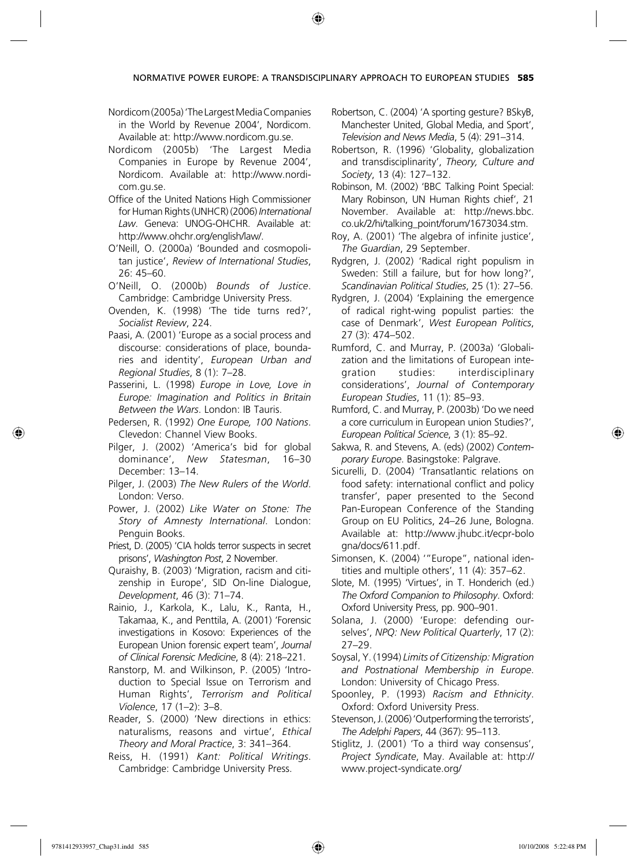NORMATIVE POWER EUROPE: A TRANSDISCIPLINARY APPROACH TO EUROPEAN STUDIES **585**

⊕

- Nordicom (2005a) 'The Largest Media Companies in the World by Revenue 2004', Nordicom. Available at: http://www.nordicom.gu.se.
- Nordicom (2005b) 'The Largest Media Companies in Europe by Revenue 2004', Nordicom. Available at: http://www.nordicom.gu.se.
- Office of the United Nations High Commissioner for Human Rights (UNHCR) (2006) *International Law*. Geneva: UNOG-OHCHR. Available at: http://www.ohchr.org/english/law/.
- O'Neill, O. (2000a) 'Bounded and cosmopolitan justice', *Review of International Studies*, 26: 45–60.
- O'Neill, O. (2000b) *Bounds of Justice*. Cambridge: Cambridge University Press.
- Ovenden, K. (1998) 'The tide turns red?', *Socialist Review*, 224.
- Paasi, A. (2001) 'Europe as a social process and discourse: considerations of place, boundaries and identity', *European Urban and Regional Studies*, 8 (1): 7–28.
- Passerini, L. (1998) *Europe in Love, Love in Europe: Imagination and Politics in Britain Between the Wars*. London: IB Tauris.
- Pedersen, R. (1992) *One Europe, 100 Nations*. Clevedon: Channel View Books.
- Pilger, J. (2002) 'America's bid for global dominance', *New Statesman*, 16–30 December: 13–14.
- Pilger, J. (2003) *The New Rulers of the World*. London: Verso.
- Power, J. (2002) *Like Water on Stone: The Story of Amnesty International*. London: Penguin Books.
- Priest, D. (2005) 'CIA holds terror suspects in secret prisons', *Washington Post*, 2 November.
- Quraishy, B. (2003) 'Migration, racism and citizenship in Europe', SID On-line Dialogue, *Development*, 46 (3): 71–74.
- Rainio, J., Karkola, K., Lalu, K., Ranta, H., Takamaa, K., and Penttila, A. (2001) 'Forensic investigations in Kosovo: Experiences of the European Union forensic expert team', *Journal of Clinical Forensic Medicine*, 8 (4): 218–221.
- Ranstorp, M. and Wilkinson, P. (2005) 'Introduction to Special Issue on Terrorism and Human Rights', *Terrorism and Political Violence*, 17 (1–2): 3–8.
- Reader, S. (2000) 'New directions in ethics: naturalisms, reasons and virtue', *Ethical Theory and Moral Practice*, 3: 341–364.
- Reiss, H. (1991) *Kant: Political Writings*. Cambridge: Cambridge University Press.
- Robertson, C. (2004) 'A sporting gesture? BSkyB, Manchester United, Global Media, and Sport', *Television and News Media*, 5 (4): 291–314.
- Robertson, R. (1996) 'Globality, globalization and transdisciplinarity', *Theory, Culture and Society*, 13 (4): 127–132.
- Robinson, M. (2002) 'BBC Talking Point Special: Mary Robinson, UN Human Rights chief', 21 November. Available at: http://news.bbc. co.uk/2/hi/talking\_point/forum/1673034.stm.
- Roy, A. (2001) 'The algebra of infinite justice', *The Guardian*, 29 September.
- Rydgren, J. (2002) 'Radical right populism in Sweden: Still a failure, but for how long?', *Scandinavian Political Studies*, 25 (1): 27–56.
- Rydgren, J. (2004) 'Explaining the emergence of radical right-wing populist parties: the case of Denmark', *West European Politics*, 27 (3): 474–502.
- Rumford, C. and Murray, P. (2003a) 'Globalization and the limitations of European integration studies: interdisciplinary considerations', *Journal of Contemporary European Studies*, 11 (1): 85–93.
- Rumford, C. and Murray, P. (2003b) 'Do we need a core curriculum in European union Studies?', *European Political Science*, 3 (1): 85–92.
- Sakwa, R. and Stevens, A. (eds) (2002) *Contemporary Europe*. Basingstoke: Palgrave.
- Sicurelli, D. (2004) 'Transatlantic relations on food safety: international conflict and policy transfer', paper presented to the Second Pan-European Conference of the Standing Group on EU Politics, 24–26 June, Bologna. Available at: http://www.jhubc.it/ecpr-bolo gna/docs/611.pdf.
- Simonsen, K. (2004) '"Europe", national identities and multiple others', 11 (4): 357–62.
- Slote, M. (1995) 'Virtues', in T. Honderich (ed.) *The Oxford Companion to Philosophy*. Oxford: Oxford University Press, pp. 900–901.
- Solana, J. (2000) 'Europe: defending ourselves', *NPQ: New Political Quarterly*, 17 (2): 27–29.
- Soysal, Y. (1994) *Limits of Citizenship: Migration and Postnational Membership in Europe*. London: University of Chicago Press.
- Spoonley, P. (1993) *Racism and Ethnicity*. Oxford: Oxford University Press.
- Stevenson, J. (2006) 'Outperforming the terrorists', *The Adelphi Papers*, 44 (367): 95–113.
- Stiglitz, J. (2001) 'To a third way consensus', *Project Syndicate*, May. Available at: http:// www.project-syndicate.org/